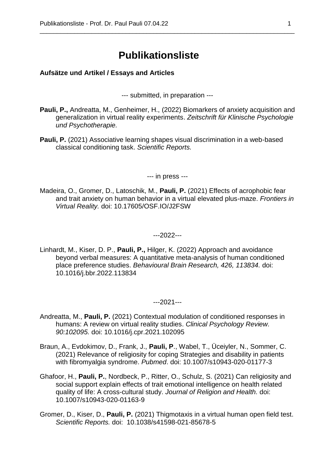# **Publikationsliste**

\_\_\_\_\_\_\_\_\_\_\_\_\_\_\_\_\_\_\_\_\_\_\_\_\_\_\_\_\_\_\_\_\_\_\_\_\_\_\_\_\_\_\_\_\_\_\_\_\_\_\_\_\_\_\_\_\_\_\_\_\_\_\_\_\_\_\_\_\_\_\_\_\_\_

#### **Aufsätze und Artikel / Essays and Articles**

--- submitted, in preparation ---

- **Pauli, P.,** Andreatta, M., Genheimer, H., (2022) Biomarkers of anxiety acquisition and generalization in virtual reality experiments. *Zeitschrift für Klinische Psychologie und Psychotherapie.*
- **Pauli, P.** (2021) Associative learning shapes visual discrimination in a web-based classical conditioning task. *Scientific Reports.*

--- in press ---

Madeira, O., Gromer, D., Latoschik, M., **Pauli, P.** (2021) Effects of acrophobic fear and trait anxiety on human behavior in a virtual elevated plus-maze. *Frontiers in Virtual Reality.* doi: 10.17605/OSF.IO/J2FSW

---2022---

Linhardt, M., Kiser, D. P., **Pauli, P.,** Hilger, K. (2022) Approach and avoidance beyond verbal measures: A quantitative meta-analysis of human conditioned place preference studies. *Behavioural Brain Research, 426, 113834.* doi: 10.1016/j.bbr.2022.113834

---2021---

- Andreatta, M., **Pauli, P.** (2021) Contextual modulation of conditioned responses in humans: A review on virtual reality studies. *Clinical Psychology Review. 90:102095.* doi: 10.1016/j.cpr.2021.102095
- Braun, A., Evdokimov, D., Frank, J., **Pauli, P**., Wabel, T., Üceiyler, N., Sommer, C. (2021) Relevance of religiosity for coping Strategies and disability in patients with fibromyalgia syndrome. *Pubmed*. doi: 10.1007/s10943-020-01177-3
- Ghafoor, H., **Pauli, P.**, Nordbeck, P., Ritter, O., Schulz, S. (2021) Can religiosity and social support explain effects of trait emotional intelligence on health related quality of life: A cross-cultural study. *Journal of Religion and Health.* doi: 10.1007/s10943-020-01163-9
- Gromer, D., Kiser, D., **Pauli, P.** (2021) Thigmotaxis in a virtual human open field test. *Scientific Reports.* doi: 10.1038/s41598-021-85678-5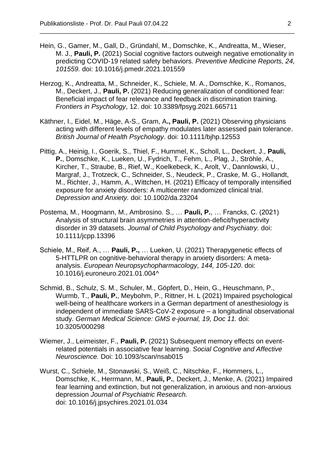Hein, G., Gamer, M., Gall, D., Gründahl, M., Domschke, K., Andreatta, M., Wieser, M. J., **Pauli, P.** (2021) Social cognitive factors outweigh negative emotionality in predicting COVID-19 related safety behaviors. *Preventive Medicine Reports, 24, 101559.* doi: 10.1016/j.pmedr.2021.101559

- Herzog, K., Andreatta, M., Schneider, K., Schiele, M. A., Domschke, K., Romanos, M., Deckert, J., **Pauli, P.** (2021) Reducing generalization of conditioned fear: Beneficial impact of fear relevance and feedback in discrimination training. *Frontiers in Psychology*, 12. doi: 10.3389/fpsyg.2021.665711
- Käthner, I., Eidel, M., Häge, A-S., Gram, A**., Pauli, P.** (2021) Observing physicians acting with different levels of empathy modulates later assessed pain tolerance. *British Journal of Health Psychology*. doi: 10.1111/bjhp.12553
- Pittig, A., Heinig, I., Goerik, S., Thiel, F., Hummel, K., Scholl, L., Deckert, J., **Pauli, P.**, Domschke, K., Lueken, U., Fydrich, T., Fehm, L., Plag, J., Ströhle, A., Kircher, T., Straube, B., Rief, W., Koelkebeck, K., Arolt, V., Dannlowski, U., Margraf, J., Trotzeck, C., Schneider, S., Neudeck, P., Craske, M. G., Hollandt, M., Richter, J., Hamm, A., Wittchen, H. (2021) Efficacy of temporally intensified exposure for anxiety disorders: A multicenter randomized clinical trial. *Depression and Anxiety.* doi: 10.1002/da.23204
- Postema, M., Hoogmann, M., Ambrosino. S., … **Pauli, P.**, … Francks, C. (2021) Analysis of structural brain asymmetries in attention‐deficit/hyperactivity disorder in 39 datasets. *Journal of Child Psychology and Psychiatry.* doi: 10.1111/jcpp.13396
- Schiele, M., Reif, A., … **Pauli, P.,** … Lueken, U. (2021) Therapygenetic effects of 5-HTTLPR on cognitive-behavioral therapy in anxiety disorders: A metaanalysis. *European Neuropsychopharmacology, 144, 105-120*. doi: 10.1016/j.euroneuro.2021.01.004^
- Schmid, B., Schulz, S. M., Schuler, M., Göpfert, D., Hein, G., Heuschmann, P., Wurmb, T., **Pauli, P.**, Meybohm, P., Rittner, H. L (2021) Impaired psychological well-being of healthcare workers in a German department of anesthesiology is independent of immediate SARS-CoV-2 exposure – a longitudinal observational study. *German Medical Science: GMS e-journal, 19, Doc 11.* doi: 10.3205/000298
- Wiemer, J., Leimeister, F., **Pauli, P.** (2021) Subsequent memory effects on eventrelated potentials in associative fear learning. *Social Cognitive and Affective Neuroscience.* Doi: 10.1093/scan/nsab015
- Wurst, C., Schiele, M., Stonawski, S., Weiß, C., Nitschke, F., Hommers, L., Domschke, K., Herrmann, M., **Pauli, P.**, Deckert, J., Menke, A. (2021) Impaired fear learning and extinction, but not generalization, in anxious and non-anxious depression *Journal of Psychiatric Research.*  doi: 10.1016/j.jpsychires.2021.01.034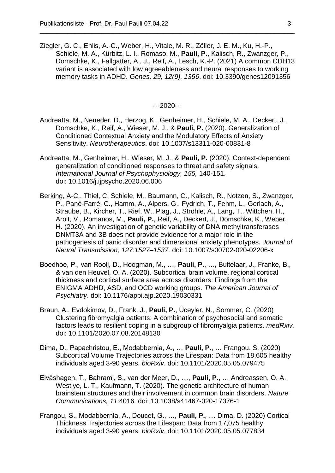Ziegler, G. C., Ehlis, A.-C., Weber, H., Vitale, M. R., Zöller, J. E. M., Ku, H.-P., Schiele, M. A., Kürbitz, L. I., Romaso, M., **Pauli, P.**, Kalisch, R., Zwanzger, P., Domschke, K., Fallgatter, A., J., Reif, A., Lesch, K.-P. (2021) A common CDH13 variant is associated with low agreeableness and neural responses to working memory tasks in ADHD. *Genes, 29, 12(9), 1356*. doi: 10.3390/genes12091356

\_\_\_\_\_\_\_\_\_\_\_\_\_\_\_\_\_\_\_\_\_\_\_\_\_\_\_\_\_\_\_\_\_\_\_\_\_\_\_\_\_\_\_\_\_\_\_\_\_\_\_\_\_\_\_\_\_\_\_\_\_\_\_\_\_\_\_\_\_\_\_\_\_\_

---2020---

- Andreatta, M., Neueder, D., Herzog, K., Genheimer, H., Schiele, M. A., Deckert, J., Domschke, K., Reif, A., Wieser, M. J., & **Pauli, P.** (2020). Generalization of Conditioned Contextual Anxiety and the Modulatory Effects of Anxiety Sensitivity. *Neurotherapeutics*. doi: 10.1007/s13311-020-00831-8
- Andreatta, M., Genheimer, H., Wieser, M. J., & **Pauli, P.** (2020). Context-dependent generalization of conditioned responses to threat and safety signals. *International Journal of Psychophysiology, 155,* 140-151. doi: 10.1016/j.ijpsycho.2020.06.006
- Berking, A-C., Thiel, C, Schiele, M., Baumann, C., Kalisch, R., Notzen, S., Zwanzger, P., Pané-Farré, C., Hamm, A., Alpers, G., Fydrich, T., Fehm, L., Gerlach, A., Straube, B., Kircher, T., Rief, W., Plag, J., Ströhle, A., Lang, T., Wittchen, H., Arolt, V., Romanos, M., **Pauli, P.**, Reif, A., Deckert, J., Domschke, K., Weber, H. (2020). An investigation of genetic variability of DNA methyltransferases DNMT3A and 3B does not provide evidence for a major role in the pathogenesis of panic disorder and dimensional anxiety phenotypes. *Journal of Neural Transmission, 127:1527–1537.* doi: 10.1007/s00702-020-02206-x
- Boedhoe, P., van Rooij, D., Hoogman, M., …, **Pauli, P.**, …, Buitelaar, J., Franke, B., & van den Heuvel, O. A. (2020). Subcortical brain volume, regional cortical thickness and cortical surface area across disorders: Findings from the ENIGMA ADHD, ASD, and OCD working groups. *The American Journal of Psychiatry*. doi: 10.1176/appi.ajp.2020.19030331
- Braun, A., Evdokimov, D., Frank, J., **Pauli, P.**, Üceyler, N., Sommer, C. (2020) Clustering fibromyalgia patients: A combination of psychosocial and somatic factors leads to resilient coping in a subgroup of fibromyalgia patients. *medRxiv.* doi: 10.1101/2020.07.08.20148130
- Dima, D., Papachristou, E., Modabbernia, A., … **Pauli, P.**, … Frangou, S. (2020) Subcortical Volume Trajectories across the Lifespan: Data from 18,605 healthy individuals aged 3-90 years. *bioRxiv*. doi: 10.1101/2020.05.05.079475
- Elvåshagen, T., Bahrami, S., van der Meer, D., …, **Pauli, P.**, … Andreassen, O. A., Westlye, L. T., Kaufmann, T. (2020). The genetic architecture of human brainstem structures and their involvement in common brain disorders. *Nature Communications, 11*:4016*.* doi: 10.1038/s41467-020-17376-1
- Frangou, S., Modabbernia, A., Doucet, G., …, **Pauli, P.**, … Dima, D. (2020) Cortical Thickness Trajectories across the Lifespan: Data from 17,075 healthy individuals aged 3-90 years. *bioRxiv*. doi: 10.1101/2020.05.05.077834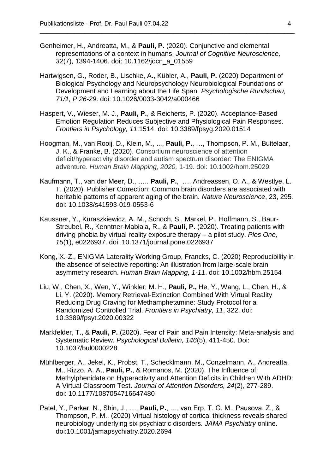Genheimer, H., Andreatta, M., & **Pauli, P.** (2020). Conjunctive and elemental representations of a context in humans. *Journal of Cognitive Neuroscience, 32*(7), 1394-1406. doi: 10.1162/jocn\_a\_01559

- Hartwigsen, G., Roder, B., Lischke, A., Kübler, A., **Pauli, P.** (2020) Department of Biological Psychology and Neuropsychology Neurobiological Foundations of Development and Learning about the Life Span. *Psychologische Rundschau, 71/1, P 26-29*. doi: 10.1026/0033-3042/a000466
- Haspert, V., Wieser, M. J., **Pauli, P.**, & Reicherts, P. (2020). Acceptance-Based Emotion Regulation Reduces Subjective and Physiological Pain Responses. *Frontiers in Psychology, 11*:1514. doi: 10.3389/fpsyg.2020.01514
- Hoogman, M., van Rooij, D., Klein, M., ..., **Pauli, P.**, …, Thompson, P. M., Buitelaar, J. K., & Franke, B. (2020). Consortium neuroscience of attention deficit/hyperactivity disorder and autism spectrum disorder: The ENIGMA adventure. *Human Brain Mapping, 2020,* 1-19. doi: 10.1002/hbm.25029
- Kaufmann, T., van der Meer, D., ….. **Pauli, P.**, …. Andreassen, O. A., & Westlye, L. T. (2020). Publisher Correction: Common brain disorders are associated with heritable patterns of apparent aging of the brain. *Nature Neuroscience*, 23, 295*.*  doi: 10.1038/s41593-019-0553-6
- Kaussner, Y., Kuraszkiewicz, A. M., Schoch, S., Markel, P., Hoffmann, S., Baur-Streubel, R., Kenntner-Mabiala, R., & **Pauli, P.** (2020). Treating patients with driving phobia by virtual reality exposure therapy – a pilot study. *Plos One, 15*(1), e0226937. doi: 10.1371/journal.pone.0226937
- Kong, X.-Z., ENIGMA Laterality Working Group, Francks, C. (2020) Reproducibility in the absence of selective reporting: An illustration from large‐scale brain asymmetry research. *Human Brain Mapping, 1-11*. doi: 10.1002/hbm.25154
- Liu, W., Chen, X., Wen, Y., Winkler, M. H., **Pauli, P.,** He, Y., Wang, L., Chen, H., & Li, Y. (2020). Memory Retrieval-Extinction Combined With Virtual Reality Reducing Drug Craving for Methamphetamine: Study Protocol for a Randomized Controlled Trial. *Frontiers in Psychiatry, 11*, 322. doi: 10.3389/fpsyt.2020.00322
- Markfelder, T., & **Pauli, P.** (2020). Fear of Pain and Pain Intensity: Meta-analysis and Systematic Review. *Psychological Bulletin, 146*(5), 411-450. Doi: 10.1037/bul0000228
- Mühlberger, A., Jekel, K., Probst, T., Schecklmann, M., Conzelmann, A., Andreatta, M., Rizzo, A. A., **Pauli, P.**, & Romanos, M. (2020). The Influence of Methylphenidate on Hyperactivity and Attention Deficits in Children With ADHD: A Virtual Classroom Test. *Journal of Attention Disorders, 24*(2), 277-289. doi: 10.1177/1087054716647480
- Patel, Y., Parker, N., Shin, J., …, **Pauli, P.**, …, van Erp, T. G. M., Pausova, Z., & Thompson, P. M.. (2020) Virtual histology of cortical thickness reveals shared neurobiology underlying six psychiatric disorders. *JAMA Psychiatry* online. doi:10.1001/jamapsychiatry.2020.2694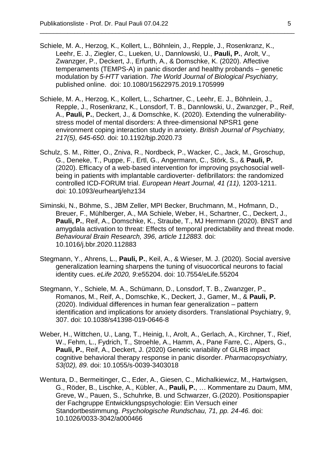Schiele, M. A., Herzog, K., Kollert, L., Böhnlein, J., Repple, J., Rosenkranz, K., Leehr, E. J., Ziegler, C., Lueken, U., Dannlowski, U., **Pauli, P.**, Arolt, V., Zwanzger, P., Deckert, J., Erfurth, A., & Domschke, K. (2020). Affective temperaments (TEMPS-A) in panic disorder and healthy probands – genetic modulation by *5-HTT* variation. *The World Journal of Biological Psychiatry,*  published online. doi: 10.1080/15622975.2019.1705999

- Schiele, M. A., Herzog, K., Kollert, L., Schartner, C., Leehr, E. J., Böhnlein, J., Repple, J., Rosenkranz, K., Lonsdorf, T. B., Dannlowski, U., Zwanzger, P., Reif, A., **Pauli, P.**, Deckert, J., & Domschke, K. (2020). Extending the vulnerabilitystress model of mental disorders: A three-dimensional NPSR1 gene environment coping interaction study in anxiety. *British Journal of Psychiatry, 217(5), 645-650*. doi: 10.1192/bjp.2020.73
- Schulz, S. M., Ritter, O., Zniva, R., Nordbeck, P., Wacker, C., Jack, M., Groschup, G., Deneke, T., Puppe, F., Ertl, G., Angermann, C., Störk, S., & **Pauli, P.** (2020). Efficacy of a web-based intervention for improving psychosocial wellbeing in patients with implantable cardioverter- defibrillators: the randomized controlled ICD-FORUM trial. *European Heart Journal, 41 (11),* 1203-1211. doi: 10.1093/eurheartj/ehz134
- Siminski, N., Böhme, S., JBM Zeller, MPI Becker, Bruchmann, M., Hofmann, D., Breuer, F., Mühlberger, A., MA Schiele, Weber, H., Schartner, C., Deckert, J., **Pauli, P.**, Reif, A., Domschke, K., Straube, T., MJ Herrmann (2020). BNST and amygdala activation to threat: Effects of temporal predictability and threat mode. *Behavioural Brain Research, 396, article 112883.* doi: 10.1016/j.bbr.2020.112883
- Stegmann, Y., Ahrens, L., **Pauli, P.**, Keil, A., & Wieser, M. J. (2020). Social aversive generalization learning sharpens the tuning of visuocortical neurons to facial identity cues. *eLife 2020, 9*:e55204. doi: 10.7554/eLife.55204
- Stegmann, Y., Schiele, M. A., Schümann, D., Lonsdorf, T. B., Zwanzger, P., Romanos, M., Reif, A., Domschke, K., Deckert, J., Gamer, M., & **Pauli, P.** (2020). Individual differences in human fear generalization – pattern identification and implications for anxiety disorders. Translational Psychiatry, 9, 307. doi: 10.1038/s41398-019-0646-8
- Weber, H., Wittchen, U., Lang, T., Heinig, I., Arolt, A., Gerlach, A., Kirchner, T., Rief, W., Fehm, L., Fydrich, T., Stroehle, A., Hamm, A., Pane Farre, C., Alpers, G., **Pauli, P.**, Reif, A., Deckert, J. (2020) Genetic variability of GLRB impact cognitive behavioral therapy response in panic disorder. *Pharmacopsychiatry, 53(02), 89.* doi: 10.1055/s-0039-3403018
- Wentura, D., Bermeitinger, C., Eder, A., Giesen, C., Michalkiewicz, M., Hartwigsen, G., Röder, B., Lischke, A., Kübler, A., **Pauli, P.**, … Kommentare zu Daum, MM, Greve, W., Pauen, S., Schuhrke, B. und Schwarzer, G.(2020). Positionspapier der Fachgruppe Entwicklungspsychologie: Ein Versuch einer Standortbestimmung. *Psychologische Rundschau, 71, pp. 24-46.* doi: 10.1026/0033-3042/a000466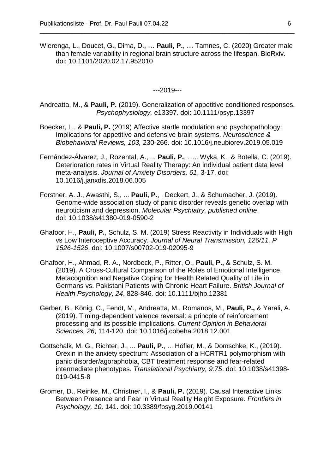Wierenga, L., Doucet, G., Dima, D., … **Pauli, P.**, … Tamnes, C. (2020) Greater male than female variability in regional brain structure across the lifespan. BioRxiv. doi: 10.1101/2020.02.17.952010

\_\_\_\_\_\_\_\_\_\_\_\_\_\_\_\_\_\_\_\_\_\_\_\_\_\_\_\_\_\_\_\_\_\_\_\_\_\_\_\_\_\_\_\_\_\_\_\_\_\_\_\_\_\_\_\_\_\_\_\_\_\_\_\_\_\_\_\_\_\_\_\_\_\_

---2019---

Andreatta, M., & **Pauli, P.** (2019). Generalization of appetitive conditioned responses. *Psychophysiology,* e13397. doi: 10.1111/psyp.13397

- Boecker, L., & **Pauli, P.** (2019) Affective startle modulation and psychopathology: Implications for appetitive and defensive brain systems. *Neuroscience & Biobehavioral Reviews, 103,* 230-266. doi: 10.1016/j.neubiorev.2019.05.019
- Fernández-Álvarez, J., Rozental, A., ... **Pauli, P.**, ….. Wyka, K., & Botella, C. (2019). Deterioration rates in Virtual Reality Therapy: An individual patient data level meta-analysis. *Journal of Anxiety Disorders, 61*, 3-17. doi: 10.1016/j.janxdis.2018.06.005
- Forstner, A. J., Awasthi, S., ... **Pauli, P.**, . Deckert, J., & Schumacher, J. (2019). Genome-wide association study of panic disorder reveals genetic overlap with neuroticism and depression. *Molecular Psychiatry, published online*. doi: 10.1038/s41380-019-0590-2
- Ghafoor, H., **Pauli, P.**, Schulz, S. M. (2019) Stress Reactivity in Individuals with High vs Low Interoceptive Accuracy. *Journal of Neural Transmission, 126/11, P 1526-1526*. doi: 10.1007/s00702-019-02095-9
- Ghafoor, H., Ahmad, R. A., Nordbeck, P., Ritter, O., **Pauli, P.,** & Schulz, S. M. (2019). A Cross-Cultural Comparison of the Roles of Emotional Intelligence, Metacognition and Negative Coping for Health Related Quality of Life in Germans vs. Pakistani Patients with Chronic Heart Failure. *British Journal of Health Psychology, 24*, 828-846*.* doi: 10.1111/bjhp.12381
- Gerber, B., König, C., Fendt, M., Andreatta, M., Romanos, M., **Pauli, P.,** & Yarali, A. (2019). Timing-dependent valence reversal: a princple of reinforcement processing and its possible implications. *Current Opinion in Behavioral Sciences, 26*, 114-120. doi: 10.1016/j.cobeha.2018.12.001
- Gottschalk, M. G., Richter, J., ... **Pauli, P.**, ... Höfler, M., & Domschke, K., (2019). Orexin in the anxiety spectrum: Association of a HCRTR1 polymorphism with panic disorder/agoraphobia, CBT treatment response and fear-related intermediate phenotypes. *Translational Psychiatry, 9:75*. doi: 10.1038/s41398- 019-0415-8
- Gromer, D., Reinke, M., Christner, I., & **Pauli, P.** (2019). Causal Interactive Links Between Presence and Fear in Virtual Reality Height Exposure. *Frontiers in Psychology, 10,* 141. doi: 10.3389/fpsyg.2019.00141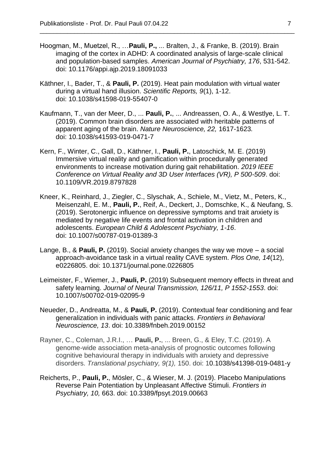Hoogman, M., Muetzel, R., …**Pauli, P.,** ... Bralten, J., & Franke, B. (2019). Brain imaging of the cortex in ADHD: A coordinated analysis of large-scale clinical and population-based samples. *American Journal of Psychiatry, 176*, 531-542. doi: 10.1176/appi.ajp.2019.18091033

- Käthner, I., Bader, T., & **Pauli, P.** (2019). Heat pain modulation with virtual water during a virtual hand illusion. *Scientific Reports, 9*(1), 1-12. doi: 10.1038/s41598-019-55407-0
- Kaufmann, T., van der Meer, D., ... **Pauli, P.**, ... Andreassen, O. A., & Westlye, L. T. (2019). Common brain disorders are associated with heritable patterns of apparent aging of the brain. *Nature Neuroscience, 22,* 1617-1623*.*  doi: 10.1038/s41593-019-0471-7
- Kern, F., Winter, C., Gall, D., Käthner, I., **Pauli, P.**, Latoschick, M. E. (2019) Immersive virtual reality and gamification within procedurally generated environments to increase motivation during gait rehabilitation. *2019 IEEE Conference on Virtual Reality and 3D User Interfaces (VR), P 500-509*. doi: 10.1109/VR.2019.8797828
- Kneer, K., Reinhard, J., Ziegler, C., Slyschak, A., Schiele, M., Vietz, M., Peters, K., Meisenzahl, E. M., **Pauli, P.**, Reif, A., Deckert, J., Domschke, K., & Neufang, S. (2019). Serotonergic influence on depressive symptoms and trait anxiety is mediated by negative life events and frontal activation in children and adolescents. *European Child & Adolescent Psychiatry, 1-16*. doi: 10.1007/s00787-019-01389-3
- Lange, B., & **Pauli, P.** (2019). Social anxiety changes the way we move a social approach-avoidance task in a virtual reality CAVE system. *Plos One, 14*(12), e0226805. doi: 10.1371/journal.pone.0226805
- Leimeister, F., Wiemer, J., **Pauli, P.** (2019) Subsequent memory effects in threat and safety learning. *Journal of Neural Transmission, 126/11, P 1552-1553*. doi: 10.1007/s00702-019-02095-9
- Neueder, D., Andreatta, M., & **Pauli, P.** (2019). Contextual fear conditioning and fear generalization in individuals with panic attacks. *Frontiers in Behavioral Neuroscience, 13*. doi: 10.3389/fnbeh.2019.00152
- Rayner, C., Coleman, J.R.I., … **Pauli, P.**, ... Breen, G., & Eley, T.C. (2019). A genome-wide association meta-analysis of prognostic outcomes following cognitive behavioural therapy in individuals with anxiety and depressive disorders. *Translational psychiatry, 9(1),* 150. doi: 10.1038/s41398-019-0481-y
- Reicherts, P., **Pauli, P.**, Mösler, C., & Wieser, M. J. (2019). Placebo Manipulations Reverse Pain Potentiation by Unpleasant Affective Stimuli. *Frontiers in Psychiatry, 10,* 663. doi: 10.3389/fpsyt.2019.00663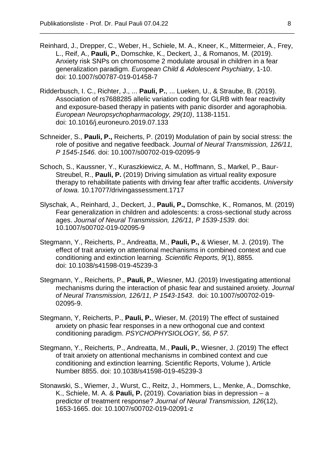Reinhard, J., Drepper, C., Weber, H., Schiele, M. A., Kneer, K., Mittermeier, A., Frey, L., Reif, A., **Pauli, P.**, Domschke, K., Deckert, J., & Romanos, M. (2019). Anxiety risk SNPs on chromosome 2 modulate arousal in children in a fear generalization paradigm. *European Child & Adolescent Psychiatry*, 1-10. doi: 10.1007/s00787-019-01458-7

- Ridderbusch, I. C., Richter, J., ... **Pauli, P.**, ... Lueken, U., & Straube, B. (2019). Association of rs7688285 allelic variation coding for GLRB with fear reactivity and exposure-based therapy in patients with panic disorder and agoraphobia. *European Neuropsychopharmacology, 29(10)*, 1138-1151. doi: 10.1016/j.euroneuro.2019.07.133
- Schneider, S., **Pauli, P.,** Reicherts, P. (2019) Modulation of pain by social stress: the role of positive and negative feedback. *Journal of Neural Transmission, 126/11, P 1545-1546.* doi: 10.1007/s00702-019-02095-9
- Schoch, S., Kaussner, Y., Kuraszkiewicz, A. M., Hoffmann, S., Markel, P., Baur-Streubel, R., **Pauli, P.** (2019) Driving simulation as virtual reality exposure therapy to rehabilitate patients with driving fear after traffic accidents. *University of Iowa.* 10.17077/drivingassessment.1717
- Slyschak, A., Reinhard, J., Deckert, J., **Pauli, P.,** Domschke, K., Romanos, M. (2019) Fear generalization in children and adolescents: a cross-sectional study across ages. *Journal of Neural Transmission, 126/11, P 1539-1539*. doi: 10.1007/s00702-019-02095-9
- Stegmann, Y., Reicherts, P., Andreatta, M., **Pauli, P.,** & Wieser, M. J. (2019). The effect of trait anxiety on attentional mechanisms in combined context and cue conditioning and extinction learning. *Scientific Reports, 9*(1), 8855*.* doi: 10.1038/s41598-019-45239-3
- Stegmann, Y., Reicherts, P., **Pauli, P.**, Wiesner, MJ. (2019) Investigating attentional mechanisms during the interaction of phasic fear and sustained anxiety. *Journal of Neural Transmission, 126/11, P 1543-1543*. doi: 10.1007/s00702-019- 02095-9.
- Stegmann, Y, Reicherts, P., **Pauli, P.**, Wieser, M. (2019) The effect of sustained anxiety on phasic fear responses in a new orthogonal cue and context conditioning paradigm. *PSYCHOPHYSIOLOGY, 56, P 57.*
- Stegmann, Y., Reicherts, P., Andreatta, M., **Pauli, P.**, Wiesner, J. (2019) The effect of trait anxiety on attentional mechanisms in combined context and cue conditioning and extinction learning. Scientific Reports, Volume ), Article Number 8855. doi: 10.1038/s41598-019-45239-3
- Stonawski, S., Wiemer, J., Wurst, C., Reitz, J., Hommers, L., Menke, A., Domschke, K., Schiele, M. A. & **Pauli, P.** (2019). Covariation bias in depression – a predictor of treatment response? *Journal of Neural Transmission, 126*(12), 1653-1665. doi: 10.1007/s00702-019-02091-z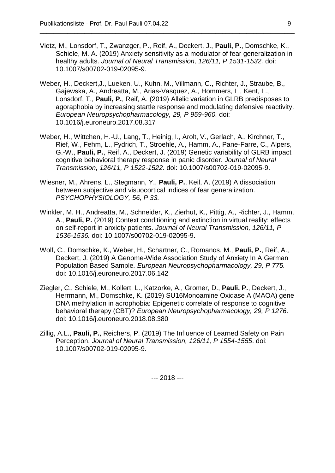- Vietz, M., Lonsdorf, T., Zwanzger, P., Reif, A., Deckert, J., **Pauli, P.**, Domschke, K., Schiele, M. A. (2019) Anxiety sensitivity as a modulator of fear generalization in healthy adults. *Journal of Neural Transmission, 126/11, P 1531-1532.* doi: 10.1007/s00702-019-02095-9.
- Weber, H., Deckert,J., Lueken, U., Kuhn, M., Villmann, C., Richter, J., Straube, B., Gajewska, A., Andreatta, M., Arias-Vasquez, A., Hommers, L., Kent, L., Lonsdorf, T., **Pauli, P.**, Reif, A. (2019) Allelic variation in GLRB predisposes to agoraphobia by increasing startle response and modulating defensive reactivity. *European Neuropsychopharmacology, 29, P 959-960.* doi: 10.1016/j.euroneuro.2017.08.317
- Weber, H., Wittchen, H.-U., Lang, T., Heinig, I., Arolt, V., Gerlach, A., Kirchner, T., Rief, W., Fehm, L., Fydrich, T., Stroehle, A., Hamm, A., Pane-Farre, C., Alpers, G.-W., **Pauli, P.**, Reif, A., Deckert, J. (2019) Genetic variability of GLRB impact cognitive behavioral therapy response in panic disorder. *Journal of Neural Transmission, 126/11, P 1522-1522.* doi: 10.1007/s00702-019-02095-9.
- Wiesner, M., Ahrens, L., Stegmann, Y., **Pauli, P.**, Keil, A. (2019) A dissociation between subjective and visuocortical indices of fear generalization. *PSYCHOPHYSIOLOGY, 56, P 33.*
- Winkler, M. H., Andreatta, M., Schneider, K., Zierhut, K., Pittig, A., Richter, J., Hamm, A., **Pauli, P.** (2019) Context conditioning and extinction in virtual reality: effects on self-report in anxiety patients. *Journal of Neural Transmission, 126/11, P 1536-1536.* doi: 10.1007/s00702-019-02095-9.
- Wolf, C., Domschke, K., Weber, H., Schartner, C., Romanos, M., **Pauli, P.**, Reif, A., Deckert, J. (2019) A Genome-Wide Association Study of Anxiety In A German Population Based Sample*. European Neuropsychopharmacology, 29, P 775.* doi: 10.1016/j.euroneuro.2017.06.142
- Ziegler, C., Schiele, M., Kollert, L., Katzorke, A., Gromer, D., **Pauli, P.**, Deckert, J., Herrmann, M., Domschke, K. (2019) SU16Monoamine Oxidase A (MAOA) gene DNA methylation in acrophobia: Epigenetic correlate of response to cognitive behavioral therapy (CBT)? *European Neuropsychopharmacology, 29, P 1276*. doi: 10.1016/j.euroneuro.2018.08.380
- Zillig, A.L., **Pauli, P.**, Reichers, P. (2019) The Influence of Learned Safety on Pain Perception. *Journal of Neural Transmission, 126/11, P 1554-1555*. doi: 10.1007/s00702-019-02095-9.

--- 2018 ---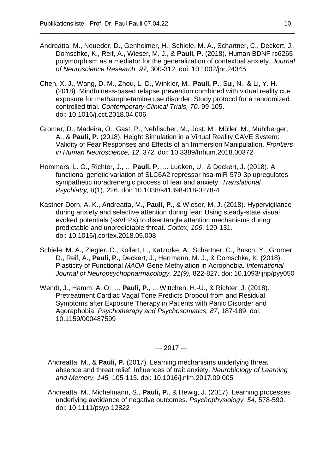Andreatta, M., Neueder, D., Genheimer, H., Schiele, M. A., Schartner, C., Deckert, J., Domschke, K., Reif, A., Wieser, M. J., & **Pauli, P.** (2018). Human BDNF rs6265 polymorphism as a mediator for the generalization of contextual anxiety. *Journal of Neuroscience Research, 97*, 300-312. doi: 10.1002/jnr.24345

\_\_\_\_\_\_\_\_\_\_\_\_\_\_\_\_\_\_\_\_\_\_\_\_\_\_\_\_\_\_\_\_\_\_\_\_\_\_\_\_\_\_\_\_\_\_\_\_\_\_\_\_\_\_\_\_\_\_\_\_\_\_\_\_\_\_\_\_\_\_\_\_\_\_

- Chen, X. J., Wang, D. M., Zhou, L. D., Winkler, M., **Pauli, P.**, Sui, N., & Li, Y. H. (2018). Mindfulness-based relapse prevention combined with virtual reality cue exposure for methamphetamine use disorder: Study protocol for a randomized controlled trial. *Contemporary Clinical Trials, 70,* 99-105. doi: 10.1016/j.cct.2018.04.006
- Gromer, D., Madeira, O., Gast, P., Nehfischer, M., Jost, M., Müller, M., Mühlberger, A., & **Pauli, P.** (2018). Height Simulation in a Virtual Reality CAVE System: Validity of Fear Responses and Effects of an Immersion Manipulation. *Frontiers in Human Neuroscience, 12*, 372. doi: 10.3389/fnhum.2018.00372
- Hommers, L. G., Richter, J., ... **Pauli, P.**, ... Lueken, U., & Deckert, J. (2018). A functional genetic variation of SLC6A2 repressor hsa-miR-579-3p upregulates sympathetic noradrenergic process of fear and anxiety. *Translational Psychiatry, 8*(1), 226. doi: 10.1038/s41398-018-0278-4
- Kastner-Dorn, A. K., Andreatta, M., **Pauli, P.**, & Wieser, M. J. (2018). Hypervigilance during anxiety and selective attention during fear: Using steady-state visual evoked potentials (ssVEPs) to disentangle attention mechanisms during predictable and unpredictable threat. *Cortex, 106*, 120-131. doi: 10.1016/j.cortex.2018.05.008
- Schiele, M. A., Ziegler, C., Kollert, L., Katzorke, A., Schartner, C., Busch, Y., Gromer, D., Reif, A., **Pauli, P.**, Deckert, J., Herrmann, M. J., & Domschke, K. (2018). Plasticity of Functional *MAOA* Gene Methylation in Acrophobia. *International Journal of Neuropsychopharmacology, 21(9),* 822-827. doi: 10.1093/ijnp/pyy050
- Wendt, J., Hamm, A. O., ... **Pauli, P.**, ... Wittchen, H.-U., & Richter, J. (2018). Pretreatment Cardiac Vagal Tone Predicts Dropout from and Residual Symptoms after Exposure Therapy in Patients with Panic Disorder and Agoraphobia. *Psychotherapy and Psychosomatics, 87*, 187-189. doi: 10.1159/000487599

--- 2017 ---

- Andreatta, M., & **Pauli, P.** (2017). Learning mechanisms underlying threat absence and threat relief: Influences of trait anxiety. *Neurobiology of Learning and Memory, 145,* 105-113*.* doi: 10.1016/j.nlm.2017.09.005
- Andreatta, M., Michelmann, S., **Pauli, P.**, & Hewig, J. (2017). Learning processes underlying avoidance of negative outcomes. *Psychophysiology, 54,* 578-590. doi: 10.1111/psyp.12822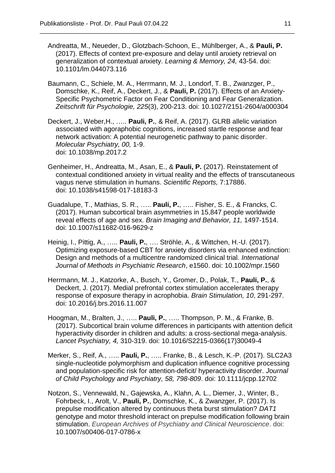Andreatta, M., Neueder, D., Glotzbach-Schoon, E., Mühlberger, A., & **Pauli, P.** (2017). Effects of context pre-exposure and delay until anxiety retrieval on generalization of contextual anxiety. *Learning & Memory, 24,* 43-54. doi: 10.1101/lm[.044073.116](tel:044073116)

- Baumann, C., Schiele, M. A., Herrmann, M. J., Londorf, T. B., Zwanzger, P., Domschke, K., Reif, A., Deckert, J., & **Pauli, P.** (2017). Effects of an Anxiety-Specific Psychometric Factor on Fear Conditioning and Fear Generalization. *Zeitschrift für Psychologie, 225*(3), 200-213. doi: 10.1027/2151-2604/a000304
- Deckert, J., Weber,H., ….. **Pauli, P.**, & Reif, A. (2017). GLRB allelic variation associated with agoraphobic cognitions, increased startle response and fear network activation: A potential neurogenetic pathway to panic disorder. *Molecular Psychiatry, 00,* 1-9. doi: 10.1038/mp.2017.2
- Genheimer, H., Andreatta, M., Asan, E., & **Pauli, P.** (2017). Reinstatement of contextual conditioned anxiety in virtual reality and the effects of transcutaneous vagus nerve stimulation in humans. *Scientific Reports,* 7:17886. doi: 10.1038/s41598-017-18183-3
- Guadalupe, T., Mathias, S. R., ….. **Pauli, P.**, ….. Fisher, S. E., & Francks, C. (2017). Human subcortical brain asymmetries in 15,847 people worldwide reveal effects of age and sex. *Brain Imaging and Behavior, 11,* 1497-1514. doi: 10.1007/s11682-016-9629-z
- Heinig, I., Pittig, A., ….. **Pauli, P.**, …. Ströhle, A., & Wittchen, H.-U. (2017). Optimizing exposure-based CBT for anxiety disorders via enhanced extinction: Design and methods of a multicentre randomized clinical trial. *International Journal of Methods in Psychiatric Research*, e1560. doi: 10.1002/mpr.1560
- Herrmann, M. J., Katzorke, A., Busch, Y., Gromer, D., Polak, T., **Pauli, P.**, & Deckert, J. (2017). Medial prefrontal cortex stimulation accelerates therapy response of exposure therapy in acrophobia. *Brain Stimulation, 10*, 291-297. doi: 10.2016/j.brs.2016.11.007
- Hoogman, M., Bralten, J., ….. **Pauli, P.**, ….. Thompson, P. M., & Franke, B. (2017). Subcortical brain volume differences in participants with attention deficit hyperactivity disorder in children and adults: a cross-sectional mega-analysis. *Lancet Psychiatry, 4,* 310-319. doi: 10.1016/S2215-0366(17)30049-4
- Merker, S., Reif, A., ….. **Pauli, P.**, ….. Franke, B., & Lesch, K.-P. (2017). SLC2A3 single-nucleotide polymorphism and duplication influence cognitive processing and population-specific risk for attention-deficit/ hyperactivity disorder. *Journal of Child Psychology and Psychiatry, 58, 798-809*. doi: 10.1111/jcpp.12702
- Notzon, S., Vennewald, N., Gajewska, A., Klahn, A. L., Diemer, J., Winter, B., Fohrbeck, I., Arolt, V., **Pauli, P.**, Domschke, K., & Zwanzger, P. (2017). Is prepulse modification altered by continuous theta burst stimulation? *DAT1* genotype and motor threshold interact on prepulse modification following brain stimulation. *European Archives of Psychiatry and Clinical Neuroscience*. doi: 10.1007/s00406-017-0786-x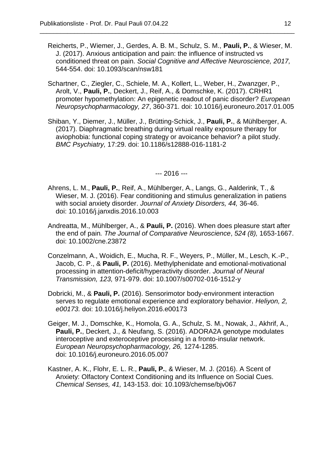Reicherts, P., Wiemer, J., Gerdes, A. B. M., Schulz, S. M., **Pauli, P.**, & Wieser, M. J. (2017). Anxious anticipation and pain: the influence of instructed vs conditioned threat on pain. *Social Cognitive and Affective Neuroscience, 2017,* 544-554. doi: 10.1093/scan/nsw181

\_\_\_\_\_\_\_\_\_\_\_\_\_\_\_\_\_\_\_\_\_\_\_\_\_\_\_\_\_\_\_\_\_\_\_\_\_\_\_\_\_\_\_\_\_\_\_\_\_\_\_\_\_\_\_\_\_\_\_\_\_\_\_\_\_\_\_\_\_\_\_\_\_\_

- Schartner, C., Ziegler, C., Schiele, M. A., Kollert, L., Weber, H., Zwanzger, P., Arolt, V., **Pauli, P.**, Deckert, J., Reif, A., & Domschke, K. (2017). CRHR1 promoter hypomethylation: An epigenetic readout of panic disorder? *European Neuropsychopharmacology, 27*, 360-371. doi: 10.1016/j.euroneuro.2017.01.005
- Shiban, Y., Diemer, J., Müller, J., Brütting-Schick, J., **Pauli, P.**, & Mühlberger, A. (2017). Diaphragmatic breathing during virtual reality exposure therapy for aviophobia: functional coping strategy or avoicance behavior? a pilot study. *BMC Psychiatry,* 17:29. doi: 10.1186/s12888-016-1181-2

--- 2016 ---

- Ahrens, L. M., **Pauli, P.**, Reif, A., Mühlberger, A., Langs, G., Aalderink, T., & Wieser, M. J. (2016). Fear conditioning and stimulus generalization in patiens with social anxiety disorder. *Journal of Anxiety Disorders, 44,* 36-46. doi: 10.1016/j.janxdis.2016.10.003
- Andreatta, M., Mühlberger, A., & **Pauli, P.** (2016). When does pleasure start after the end of pain*. The Journal of Comparative Neuroscience*, *524 (8),* 1653-1667. doi: 10.1002/cne.23872
- Conzelmann, A., Woidich, E., Mucha, R. F., Weyers, P., Müller, M., Lesch, K.-P., Jacob, C. P., & **Pauli, P.** (2016). Methylphenidate and emotional-motivational processing in attention-deficit/hyperactivity disorder. *Journal of Neural Transmission, 123,* 971-979. doi: 10.1007/s00702-016-1512-y
- Dobricki, M., & **Pauli, P.** (2016). Sensorimotor body-environment interaction serves to regulate emotional experience and exploratory behavior. *Heliyon, 2, e00173.* doi: 10.1016/j.heliyon.2016.e00173
- Geiger, M. J., Domschke, K., Homola, G. A., Schulz, S. M., Nowak, J., Akhrif, A., **Pauli, P.**, Deckert, J., & Neufang, S. (2016). ADORA2A genotype modulates interoceptive and exteroceptive processing in a fronto-insular network. *European Neuropsychopharmacology, 26,* 1274-1285. doi: 10.1016/j.euroneuro.2016.05.007
- Kastner, A. K., Flohr, E. L. R., **Pauli, P.**, & Wieser, M. J. (2016). A Scent of Anxiety: Olfactory Context Conditioning and its Influence on Social Cues. *Chemical Senses, 41,* 143-153. doi: 10.1093/chemse/bjv067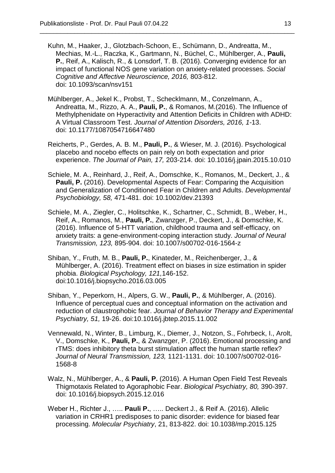Kuhn, M., Haaker, J., Glotzbach-Schoon, E., Schümann, D., Andreatta, M., Mechias, M.-L., Raczka, K., Gartmann, N., Büchel, C., Mühlberger, A., **Pauli, P.**, Reif, A., Kalisch, R., & Lonsdorf, T. B. (2016). Converging evidence for an impact of functional NOS gene variation on anxiety-related processes. *Social Cognitive and Affective Neuroscience, 2016,* 803-812. doi: 10.1093/scan/nsv151

- Mühlberger, A., Jekel K., Probst, T., Schecklmann, M., Conzelmann, A., Andreatta, M., Rizzo, A. A., **Pauli, P.**, & Romanos, M.(2016). The Influence of Methylphenidate on Hyperactivity and Attention Deficits in Children with ADHD: A Virtual Classroom Test. *Journal of Attention Disorders, 2016, 1*-13. doi: 10.1177/1087054716647480
- Reicherts, P., Gerdes, A. B. M., **Pauli, P.**, & Wieser, M. J. (2016). Psychological placebo and nocebo effects on pain rely on both expectation and prior experience. *The Journal of Pain, 17,* 203-214. doi: 10.1016/j.jpain.2015.10.010
- Schiele, M. A., Reinhard, J., Reif, A., Domschke, K., Romanos, M., Deckert, J., & **Pauli, P.** (2016). Developmental Aspects of Fear: Comparing the Acquisition and Generalization of Conditioned Fear in Children and Adults. *Developmental Psychobiology, 58,* 471-481. doi: 10.1002/dev.21393
- Schiele, M. A., Ziegler, C., Holitschke, K., Schartner, C., Schmidt, B., Weber, H., Reif, A., Romanos, M., **Pauli, P.**, Zwanzger, P., Deckert, J., & Domschke, K. (2016). Influence of 5-HTT variation, childhood trauma and self-efficacy, on anxiety traits: a gene-environment-coping interaction study. *Journal of Neural Transmission, 123,* 895-904. doi: 10.1007/s00702-016-1564-z
- Shiban, Y., Fruth, M. B., **Pauli, P.**, Kinateder, M., Reichenberger, J., & Mühlberger, A. (2016). Treatment effect on biases in size estimation in spider phobia. *Biological Psychology, 121,*146-152. doi:10.1016/j.biopsycho.2016.03.005
- Shiban, Y., Peperkorn, H., Alpers, G. W., **Pauli, P.**, & Mühlberger, A. (2016). Influence of perceptual cues and conceptual information on the activation and reduction of claustrophobic fear. *Journal of Behavior Therapy and Experimental Psychiatry, 51,* 19-26. doi:10.1016/j.jbtep.2015.11.002
- Vennewald, N., Winter, B., Limburg, K., Diemer, J., Notzon, S., Fohrbeck, I., Arolt, V., Domschke, K., **Pauli, P.**, & Zwanzger, P. (2016). Emotional processing and rTMS: does inhibitory theta burst stimulation affect the human startle reflex? *Journal of Neural Transmission, 123,* 1121-1131. doi: 10.1007/s00702-016- 1568-8
- Walz, N., Mühlberger, A., & **Pauli, P.** (2016). A Human Open Field Test Reveals Thigmotaxis Related to Agoraphobic Fear. *Biological Psychiatry, 80,* 390-397. doi: 10.1016/j.biopsych.2015.12.016
- Weber H., Richter J., ….. **Pauli P.**, ….. Deckert J., & Reif A. (2016). Allelic variation in CRHR1 predisposes to panic disorder: evidence for biased fear processing. *Molecular Psychiatry*, 21, 813-822. doi: 10.1038/mp.2015.125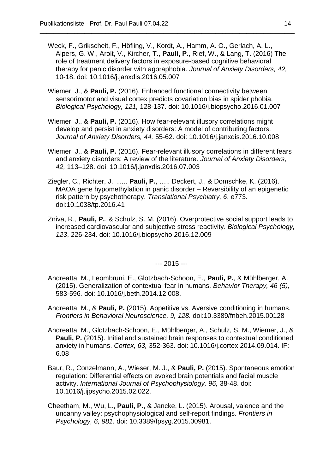Weck, F., Grikscheit, F., Höfling, V., Kordt, A., Hamm, A. O., Gerlach, A. L., Alpers, G. W., Arolt, V., Kircher, T., **Pauli, P.**, Rief, W., & Lang, T. (2016) The role of treatment delivery factors in exposure-based cognitive behavioral therapy for panic disorder with agoraphobia. *Journal of Anxiety Disorders, 42,* 10-18. doi: 10.1016/j.janxdis.2016.05.007

\_\_\_\_\_\_\_\_\_\_\_\_\_\_\_\_\_\_\_\_\_\_\_\_\_\_\_\_\_\_\_\_\_\_\_\_\_\_\_\_\_\_\_\_\_\_\_\_\_\_\_\_\_\_\_\_\_\_\_\_\_\_\_\_\_\_\_\_\_\_\_\_\_\_

- Wiemer, J., & **Pauli, P.** (2016). Enhanced functional connectivity between sensorimotor and visual cortex predicts covariation bias in spider phobia. *Biological Psychology, 121,* 128-137. doi: 10.1016/j.biopsycho.2016.01.007
- Wiemer, J., & **Pauli, P.** (2016). How fear-relevant illusory correlations might develop and persist in anxiety disorders: A model of contributing factors. *Journal of Anxiety Disorders, 44,* 55-62. doi: 10.1016/j.janxdis.2016.10.008
- Wiemer, J., & **Pauli, P.** (2016). Fear-relevant illusory correlations in different fears and anxiety disorders: A review of the literature. *Journal of Anxiety Disorders, 42,* 113–128. doi: 10.1016/j.janxdis.2016.07.003
- Ziegler, C., Richter, J., ….. **Pauli, P.**, ….. Deckert, J., & Domschke, K. (2016). MAOA gene hypomethylation in panic disorder – Reversibility of an epigenetic risk pattern by psychotherapy. *Translational Psychiatry, 6*, e773. doi:10.1038/tp.2016.41
- Zniva, R., **Pauli, P.**, & Schulz, S. M. (2016). Overprotective social support leads to increased cardiovascular and subjective stress reactivity. *Biological Psychology, 123*, 226-234. doi: 10.1016/j.biopsycho.2016.12.009

--- 2015 ---

- Andreatta, M., Leombruni, E., Glotzbach-Schoon, E., **Pauli, P.**, & Mühlberger, A. (2015). Generalization of contextual fear in humans. *Behavior Therapy, 46 (5),*  583-596*.* doi: 10.1016/j.beth.2014.12.008.
- Andreatta, M., & **Pauli, P.** (2015). Appetitive vs. Aversive conditioning in humans. *Frontiers in Behavioral Neuroscience, 9, 128.* doi:10.3389/fnbeh.2015.00128
- Andreatta, M., Glotzbach-Schoon, E., Mühlberger, A., Schulz, S. M., Wiemer, J., & Pauli, P. (2015). Initial and sustained brain responses to contextual conditioned anxiety in humans. *Cortex, 63,* 352-363. doi: 10.1016/j.cortex.2014.09.014. IF: 6.08
- Baur, R., Conzelmann, A., Wieser, M. J., & **Pauli, P.** (2015). Spontaneous emotion regulation: Differential effects on evoked brain potentials and facial muscle activity. *International Journal of Psychophysiology, 96,* 38-48. doi: 10.1016/j.ijpsycho.2015.02.022.
- Cheetham, M., Wu, L., **Pauli, P.**, & Jancke, L. (2015). Arousal, valence and the uncanny valley: psychophysiological and self-report findings. *Frontiers in Psychology, 6, 981.* doi: 10.3389/fpsyg.2015.00981.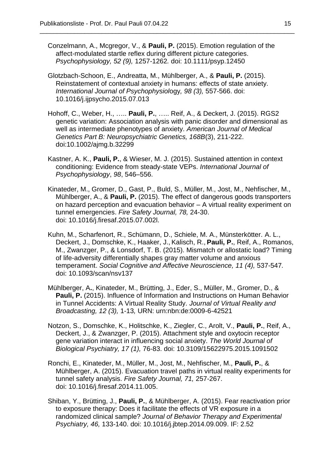Conzelmann, A., Mcgregor, V., & **Pauli, P.** (2015). Emotion regulation of the affect-modulated startle reflex during different picture categories. *Psychophysiology, 52 (9),* 1257-1262*.* doi: 10.1111/psyp.12450

- Glotzbach-Schoon, E., Andreatta, M., Mühlberger, A., & **Pauli, P.** (2015). Reinstatement of contextual anxiety in humans: effects of state anxiety. *International Journal of Psychophysiol*ogy*, 98 (3),* 557-566. doi: 10.1016/j.ijpsycho.2015.07.013
- Hohoff, C., Weber, H., ….. **Pauli, P.**, ….. Reif, A., & Deckert, J. (2015). RGS2 genetic variation: Association analysis with panic disorder and dimensional as well as intermediate phenotypes of anxiety. *American Journal of Medical Genetics Part B: Neuropsychiatric Genetics, 168B*(3), 211-222. doi:10.1002/ajmg.b.32299
- Kastner, A. K., **Pauli, P.**, & Wieser, M. J. (2015). Sustained attention in context conditioning: Evidence from steady-state VEPs. *International Journal of Psychophysiology*, *98*, 546–556.
- Kinateder, M., Gromer, D., Gast, P., Buld, S., Müller, M., Jost, M., Nehfischer, M., Mühlberger, A., & **Pauli, P.** (2015). The effect of dangerous goods transporters on hazard perception and evacuation behavior – A virtual reality experiment on tunnel emergencies. *Fire Safety Journal, 78,* 24-30. doi: 10.1016/j.firesaf.2015.07.002l.
- Kuhn, M., Scharfenort, R., Schümann, D., Schiele, M. A., Münsterkötter. A. L., Deckert, J., Domschke, K., Haaker, J., Kalisch, R., **Pauli, P.**, Reif, A., Romanos, M., Zwanzger, P., & Lonsdorf, T. B. (2015). Mismatch or allostatic load? Timing of life-adversity differentially shapes gray matter volume and anxious temperament. *Social Cognitive and Affective Neuroscience, 11 (4),* 537-547*.* doi: 10.1093/scan/nsv137
- Mühlberger, A**.**, Kinateder, M., Brütting, J., Eder, S., Müller, M., Gromer, D., & **Pauli, P.** (2015). Influence of Information and Instructions on Human Behavior in Tunnel Accidents: A Virtual Reality Study. *Journal of Virtual Reality and Broadcasting, 12 (3),* 1-13*,* URN: urn:nbn:de:0009-6-42521
- Notzon, S., Domschke, K., Holitschke, K., Ziegler, C., Arolt, V., **Pauli, P.**, Reif, A., Deckert, J., & Zwanzger, P. (2015). Attachment style and oxytocin receptor gene variation interact in influencing social anxiety. *The World Journal of Biological Psychiatry, 17 (1),* 76-83. doi: 10.3109/15622975.2015.1091502
- Ronchi, E., Kinateder, M., Müller, M., Jost, M., Nehfischer, M., **Pauli, P.**, & Mühlberger, A. (2015). Evacuation travel paths in virtual reality experiments for tunnel safety analysis. *Fire Safety Journal, 71,* 257-267. doi: 10.1016/j.firesaf.2014.11.005.
- Shiban, Y., Brütting, J., **Pauli, P.**, & Mühlberger, A. (2015). Fear reactivation prior to exposure therapy: Does it facilitate the effects of VR exposure in a randomized clinical sample? *Journal of Behavior Therapy and Experimental Psychiatry, 46,* 133-140. doi: 10.1016/j.jbtep.2014.09.009. IF: 2.52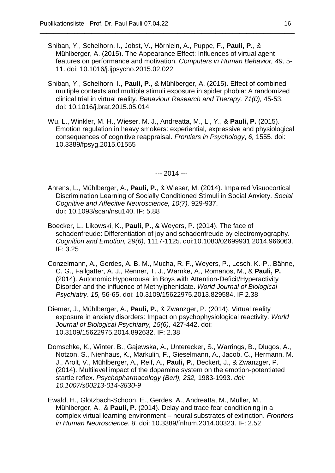Shiban, Y., Schelhorn, I., Jobst, V., Hörnlein, A., Puppe, F., **Pauli, P.**, & Mühlberger, A. (2015). The Appearance Effect: Influences of virtual agent features on performance and motivation. *Computers in Human Behavior, 49,* 5- 11. doi: 10.1016/j.ijpsycho.2015.02.022

\_\_\_\_\_\_\_\_\_\_\_\_\_\_\_\_\_\_\_\_\_\_\_\_\_\_\_\_\_\_\_\_\_\_\_\_\_\_\_\_\_\_\_\_\_\_\_\_\_\_\_\_\_\_\_\_\_\_\_\_\_\_\_\_\_\_\_\_\_\_\_\_\_\_

- Shiban, Y., Schelhorn, I., **Pauli, P.**, & Mühlberger, A. (2015). Effect of combined multiple contexts and multiple stimuli exposure in spider phobia: A randomized clinical trial in virtual reality. *Behaviour Research and Therapy, 71(0),* 45-53. doi: 10.1016/j.brat.2015.05.014
- Wu, L., Winkler, M. H., Wieser, M. J., Andreatta, M., Li, Y., & **Pauli, P.** (2015). Emotion regulation in heavy smokers: experiential, expressive and physiological consequences of cognitive reappraisal. *Frontiers in Psychology*, *6,* 1555. doi: [10.3389/fpsyg.2015.01555](http://dx.doi.org/10.3389/fpsyg.2015.01555)

--- 2014 ---

- Ahrens, L., Mühlberger, A., **Pauli, P.**, & Wieser, M. (2014). Impaired Visuocortical Discrimination Learning of Socially Conditioned Stimuli in Social Anxiety. *Social Cognitive and Affecitve Neuroscience, 10(7),* 929-937. doi: 10.1093/scan/nsu140. IF: 5.88
- Boecker, L., Likowski, K., **Pauli, P.**, & Weyers, P. (2014). The face of schadenfreude: Differentiation of joy and schadenfreude by electromyography. *Cognition and Emotion, 29(6),* 1117-1125. doi:10.1080/02699931.2014.966063. IF: 3.25
- Conzelmann, A., Gerdes, A. B. M., Mucha, R. F., Weyers, P., Lesch, K.-P., Bähne, C. G., Fallgatter, A. J., Renner, T. J., Warnke, A., Romanos, M., & **Pauli, P.** (2014). Autonomic Hypoarousal in Boys with Attention-Deficit/Hyperactivity Disorder and the influence of Methylphenidate. *World Journal of Biological Psychiatry*. *15,* 56-65. doi: 10.3109/15622975.2013.829584. IF 2.38
- Diemer, J., Mühlberger, A., **Pauli, P.**, & Zwanzger, P. (2014). Virtual reality exposure in anxiety disorders: Impact on psychophysiological reactivity. *World Journal of Biological Psychiatry, 15(6),* 427-442. doi: 10.3109/15622975.2014.892632. IF: 2.38
- Domschke, K., Winter, B., Gajewska, A., Unterecker, S., Warrings, B., Dlugos, A., Notzon, S., Nienhaus, K., Markulin, F., Gieselmann, A., Jacob, C., Hermann, M. J., Arolt, V., Mühlberger, A., Reif, A., **Pauli, P.**, Deckert, J., & Zwanzger, P. (2014). Multilevel impact of the dopamine system on the emotion-potentiated startle reflex. *Psychopharmacology (Berl), 232,* 1983-1993. *doi: 10.1007/s00213-014-3830-9*
- Ewald, H., Glotzbach-Schoon, E., Gerdes, A., Andreatta, M., Müller, M., Mühlberger, A., & **Pauli, P.** (2014). Delay and trace fear conditioning in a complex virtual learning environment – neural substrates of extinction. *Frontiers in Human Neuroscience*, *8.* doi: 10.3389/fnhum.2014.00323. IF: 2.52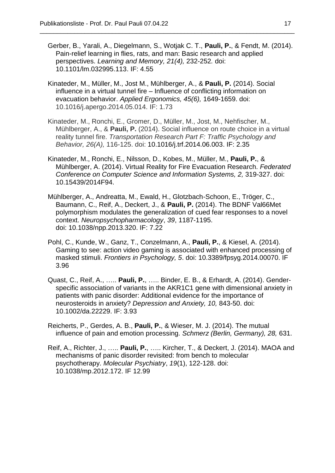Gerber, B., Yarali, A., Diegelmann, S., Wotjak C. T., **Pauli, P.**, & Fendt, M. (2014). Pain-relief learning in flies, rats, and man: Basic research and applied perspectives. *Learning and Memory, 21(4),* 232-252*.* doi: 10.1101/lm.032995.113. IF: 4.55

- Kinateder, M., Müller, M., Jost M., Mühlberger, A., & **Pauli, P.** (2014). Social influence in a virtual tunnel fire – Influence of conflicting information on evacuation behavior. *Applied Ergonomics, 45(6),* 1649-1659. doi: 10.1016/j.apergo.2014.05.014. IF: 1.73
- Kinateder, M., Ronchi, E., Gromer, D., Müller, M., Jost, M., Nehfischer, M., Mühlberger, A., & **Pauli, P.** (2014). Social influence on route choice in a virtual reality tunnel fire. *Transportation Research Part F: Traffic Psychology and Behavior, 26(A),* 116-125. doi: 10.1016/j.trf.2014.06.003. IF: 2.35
- Kinateder, M., Ronchi, E., Nilsson, D., Kobes, M., Müller, M., **Pauli, P.**, & Mühlberger, A. (2014). Virtual Reality for Fire Evacuation Research. *Federated Conference on Computer Science and Information Systems, 2,* 319-327. doi: 10.15439/2014F94.
- Mühlberger, A., Andreatta, M., Ewald, H., Glotzbach-Schoon, E., Tröger, C., Baumann, C., Reif, A., Deckert, J., & **Pauli, P.** (2014). The BDNF Val66Met polymorphism modulates the generalization of cued fear responses to a novel context. *Neuropsychopharmacology*, *39*, 1187-1195. doi: 10.1038/npp.2013.320. IF: 7.22
- Pohl, C., Kunde, W., Ganz, T., Conzelmann, A., **Pauli, P.**, & Kiesel, A. (2014). Gaming to see: action video gaming is associated with enhanced processing of masked stimuli. *Frontiers in Psychology, 5*. doi: 10.3389/fpsyg.2014.00070. IF 3.96
- Quast, C., Reif, A., ….. **Pauli, P.**, ….. Binder, E. B., & Erhardt, A. (2014). Genderspecific association of variants in the AKR1C1 gene with dimensional anxiety in patients with panic disorder: Additional evidence for the importance of neurosteroids in anxiety? *Depression and Anxiety, 10,* 843-50. doi: 10.1002/da.22229. IF: 3.93
- Reicherts, P., Gerdes, A. B., **Pauli, P.**, & Wieser, M. J. (2014). The mutual influence of pain and emotion processing. *Schmerz (Berlin, Germany), 28,* 631.
- Reif, A., Richter, J., ….. **Pauli, P.**, ….. Kircher, T., & Deckert, J. (2014). MAOA and mechanisms of panic disorder revisited: from bench to molecular psychotherapy. *Molecular Psychiatry*, *19*(1), 122-128. doi: 10.1038/mp.2012.172. IF 12.99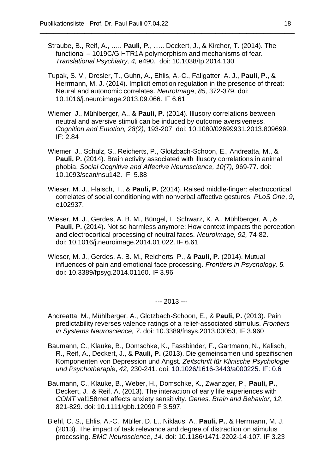Straube, B., Reif, A., ….. **Pauli, P.**, ….. Deckert, J., & Kircher, T. (2014). The functional – 1019C/G HTR1A polymorphism and mechanisms of fear. *Translational Psychiatry, 4,* e490.doi: 10.1038/tp.2014.130

\_\_\_\_\_\_\_\_\_\_\_\_\_\_\_\_\_\_\_\_\_\_\_\_\_\_\_\_\_\_\_\_\_\_\_\_\_\_\_\_\_\_\_\_\_\_\_\_\_\_\_\_\_\_\_\_\_\_\_\_\_\_\_\_\_\_\_\_\_\_\_\_\_\_

- Tupak, S. V., Dresler, T., Guhn, A., Ehlis, A.-C., Fallgatter, A. J., **Pauli, P.**, & Herrmann, M. J. (2014). Implicit emotion regulation in the presence of threat: Neural and autonomic correlates. *NeuroImage*, *85,* 372-379. doi: 10.1016/j.neuroimage.2013.09.066. IF 6.61
- Wiemer, J., Mühlberger, A., & **Pauli, P.** (2014). Illusory correlations between neutral and aversive stimuli can be induced by outcome aversiveness. *Cognition and Emotion, 28(2),* 193-207. doi: 10.1080/02699931.2013.809699. IF: 2.84
- Wiemer, J., Schulz, S., Reicherts, P., Glotzbach-Schoon, E., Andreatta, M., & **Pauli, P.** (2014). Brain activity associated with illusory correlations in animal phobia. *Social Cognitive and Affective Neuroscience, 10(7),* 969-77. doi: 10.1093/scan/nsu142. IF: 5.88
- Wieser, M. J., Flaisch, T., & **Pauli, P.** (2014). Raised middle-finger: electrocortical correlates of social conditioning with nonverbal affective gestures. *PLoS One*, *9*, e102937.
- Wieser, M. J., Gerdes, A. B. M., Büngel, I., Schwarz, K. A., Mühlberger, A., & **Pauli, P.** (2014). Not so harmless anymore: How context impacts the perception and electrocortical processing of neutral faces. *NeuroImage, 92,* 74-82. doi: 10.1016/j.neuroimage.2014.01.022. IF 6.61
- Wieser, M. J., Gerdes, A. B. M., Reicherts, P., & **Pauli, P.** (2014). Mutual influences of pain and emotional face processing. *Frontiers in Psychology, 5.*  doi: 10.3389/fpsyg.2014.01160. IF 3.96

--- 2013 ---

- Andreatta, M., Mühlberger, A., Glotzbach-Schoon, E., & **Pauli, P.** (2013). Pain predictability reverses valence ratings of a relief-associated stimulus. *Frontiers in Systems Neuroscience, 7*. doi: 10.3389/fnsys.2013.00053. IF 3.960
- Baumann, C., Klauke, B., Domschke, K., Fassbinder, F., Gartmann, N., Kalisch, R., Reif, A., Deckert, J., & **Pauli, P.** (2013). Die gemeinsamen und spezifischen Komponenten von Depression und Angst. *Zeitschrift für Klinische Psychologie und Psychotherapie*, *42*, 230-241. doi: 10.1026/1616-3443/a000225. IF: 0.6
- Baumann, C., Klauke, B., Weber, H., Domschke, K., Zwanzger, P., **Pauli, P.**, Deckert, J., & Reif, A. (2013). The interaction of early life experiences with *COMT* val158met affects anxiety sensitivity. *Genes, Brain and Behavior, 12*, 821-829. doi: 10.1111/gbb.12090 F 3.597.
- Biehl, C. S., Ehlis, A.-C., Müller, D. L., Niklaus, A., **Pauli, P.**, & Herrmann, M. J. (2013). The impact of task relevance and degree of distraction on stimulus processing. *BMC Neuroscience*, *14.* doi: 10.1186/1471-2202-14-107. IF 3.23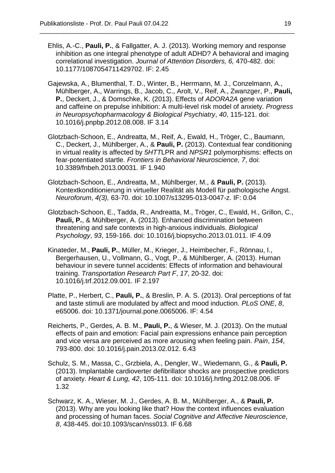Ehlis, A.-C., **Pauli, P.**, & Fallgatter, A. J. (2013). Working memory and response inhibition as one integral phenotype of adult ADHD? A behavioral and imaging correlational investigation. *Journal of Attention Disorders, 6,* 470-482. [doi:](http://dx.doi.org/10.1177/1087054711429702)  [10.1177/1087054711429702.](http://dx.doi.org/10.1177/1087054711429702) IF: 2.45

- Gajewska, A., Blumenthal, T. D., Winter, B., Herrmann, M. J., Conzelmann, A., Mühlberger, A., Warrings, B., Jacob, C., Arolt, V., Reif, A., Zwanzger, P., **Pauli, P.**, Deckert, J., & Domschke, K. (2013). Effects of *ADORA2A* gene variation and caffeine on prepulse inhibition: A multi-level risk model of anxiety. *Progress in Neuropsychopharmacology & Biological Psychiatry*, *40*, 115-121. doi: 10.1016/j.pnpbp.2012.08.008. IF 3.14
- Glotzbach-Schoon, E., Andreatta, M., Reif, A., Ewald, H., Tröger, C., Baumann, C., Deckert, J., Mühlberger, A., & **Pauli, P.** (2013). Contextual fear conditioning in virtual reality is affected by *5HTT*LPR and *NPSR1* polymorphisms: effects on fear-potentiated startle. *Frontiers in Behavioral Neuroscience, 7*, doi: 10.3389/fnbeh.2013.00031*.* IF 1.940
- Glotzbach-Schoon, E., Andreatta, M., Mühlberger, M., & **Pauli, P.** (2013). Kontextkonditionierung in virtueller Realität als Modell für pathologische Angst. *Neuroforum*, *4(3),* 63-70. doi: 10.1007/s13295-013-0047-z. IF: 0.04
- Glotzbach-Schoon, E., Tadda, R., Andreatta, M., Tröger, C., Ewald, H., Grillon, C., **Pauli, P.**, & Mühlberger, A. (2013). Enhanced discrimination between threatening and safe contexts in high-anxious individuals. *Biological Psychology*, *93*, 159-166. doi: 10.1016/j.biopsycho.2013.01.011. IF 4.09
- Kinateder, M., **Pauli, P.**, Müller, M., Krieger, J., Heimbecher, F., Rönnau, I., Bergerhausen, U., Vollmann, G., Vogt, P., & Mühlberger, A. (2013). Human behaviour in severe tunnel accidents: Effects of information and behavioural training. *Transportation Research Part F*, *17*, 20-32. doi: 10.1016/j.trf.2012.09.001. IF 2.197
- Platte, P., Herbert, C., **Pauli, P.**, & Breslin, P. A. S. (2013). Oral perceptions of fat and taste stimuli are modulated by affect and mood induction. *PLoS ONE*, *8*, e65006. doi: 10.1371/journal.pone.0065006. IF: 4.54
- Reicherts, P., Gerdes, A. B. M., **Pauli, P.**, & Wieser, M. J. (2013). On the mutual effects of pain and emotion: Facial pain expressions enhance pain perception and vice versa are perceived as more arousing when feeling pain. *Pain*, *154*, 793-800. doi: 10.1016/j.pain.2013.02.012. 6.43
- Schulz, S. M., Massa, C., Grzbiela, A., Dengler, W., Wiedemann, G., & **Pauli, P.**  (2013). Implantable cardioverter defibrillator shocks are prospective predictors of anxiety. *Heart & Lung, 42*, 105-111. doi: 10.1016/j.hrtlng.2012.08.006. IF 1.32
- Schwarz, K. A., Wieser, M. J., Gerdes, A. B. M., Mühlberger, A., & **Pauli, P.** (2013). Why are you looking like that? How the context influences evaluation and processing of human faces. *Social Cognitive and Affective Neuroscience, 8*, 438-445. doi:10.1093/scan/nss013. IF 6.68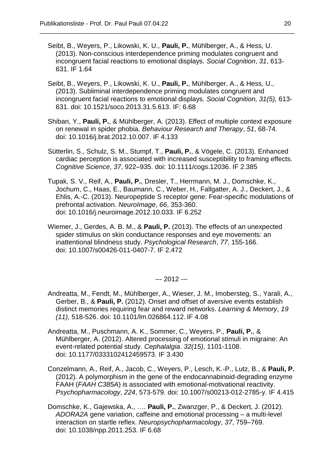Seibt, B., Weyers, P., Likowski, K. U., **Pauli, P.**, Mühlberger, A., & Hess, U. (2013). Non-conscious interdependence priming modulates congruent and incongruent facial reactions to emotional displays. *Social Cognition*, *31*, 613- 631. IF 1.64

\_\_\_\_\_\_\_\_\_\_\_\_\_\_\_\_\_\_\_\_\_\_\_\_\_\_\_\_\_\_\_\_\_\_\_\_\_\_\_\_\_\_\_\_\_\_\_\_\_\_\_\_\_\_\_\_\_\_\_\_\_\_\_\_\_\_\_\_\_\_\_\_\_\_

- Seibt, B., Weyers, P., Likowski, K. U., **Pauli, P.**, Mühlberger, A., & Hess, U., (2013). Subliminal interdependence priming modulates congruent and incongruent facial reactions to emotional displays. *Social Cognition, 31(5),* 613- 631. doi: 10.1521/soco.2013.31.5.613. IF: 6.68
- Shiban, Y., **Pauli, P.**, & Mühlberger, A. (2013). Effect of multiple context exposure on renewal in spider phobia. *Behaviour Research and Therapy*, *51*, 68-74. [doi: 10.1016/j.brat.2012.10.007. IF 4.133](http://dx.doi.org/10.1016/j.brat.2012.10.007.%20IF%204.133)
- Sütterlin, S., Schulz, S. M., Stumpf, T., **Pauli, P.**, & Vögele, C. (2013). Enhanced cardiac perception is associated with increased susceptibility to framing effects. *Cognitive Science*, *37*, 922–935. doi: 10.1111/cogs.12036. IF 2.385
- Tupak, S. V., Reif, A., **Pauli, P.**, Dresler, T., Herrmann, M. J., Domschke, K., Jochum, C., Haas, E., Baumann, C., Weber, H., Fallgatter, A. J., Deckert, J., & Ehlis, A.-C. (2013). Neuropeptide S receptor gene: Fear-specific modulations of prefrontal activation. *NeuroImage*, *66*, 353-360. doi: 10.1016/j.neuroimage.2012.10.033. IF 6.252
- Wiemer, J., Gerdes, A. B. M., & **Pauli, P.** (2013). The effects of an unexpected spider stimulus on skin conductance responses and eye movements: an inattentional blindness study. *Psychological Research*, *77*, 155-166. [doi: 10.1007/s00426-011-0407-7.](http://dx.doi.org/10.1007/s00426-011-0407-7.%20IF%202.472) IF 2.472

--- 2012 ---

- Andreatta, M., Fendt, M., Mühlberger, A., Wieser, J. M., Imobersteg, S., Yarali, A., Gerber, B., & **Pauli, P.** (2012). Onset and offset of aversive events establish distinct memories requiring fear and reward networks. *Learning & Memory*, *19 (11)*, 518-526. doi: 10.1101/lm.026864.112. IF 4.08
- Andreatta, M., Puschmann, A. K., Sommer, C., Weyers, P., **Pauli, P.**, & Mühlberger, A. (2012). Altered processing of emotional stimuli in migraine: An event-related potential study. *Cephalalgia*. *32(15)*, 1101-1108. doi: 10.1177/0333102412459573. IF 3.430
- Conzelmann, A., Reif, A., Jacob, C., Weyers, P., Lesch, K.-P., Lutz, B., & **Pauli, P.**  (2012). A polymorphism in the gene of the endocannabinoid-degrading enzyme FAAH (*FAAH C385A*) is associated with emotional-motivational reactivity. *Psychopharmacology*, *224*, 573-579. doi: 10.1007/s00213-012-2785-y. IF 4.415
- Domschke, K., Gajewska, A., …. **Pauli, P.**, Zwanzger, P., & Deckert, J. (2012). *ADORA2A* gene variation, caffeine and emotional processing – a multi-level interaction on startle reflex. *Neuropsychopharmacology*, *37*, 759–769. doi: 10.1038/npp.2011.253. IF 6.68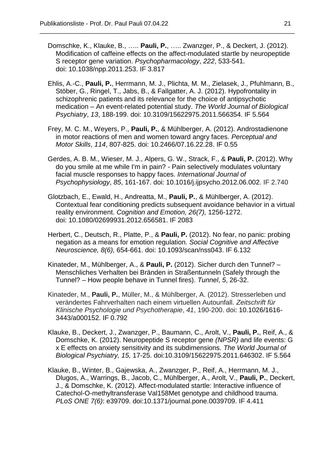Domschke, K., Klauke, B., ….. **Pauli, P.**, ….. Zwanzger, P., & Deckert, J. (2012). Modification of caffeine effects on the affect-modulated startle by neuropeptide S receptor gene variation. *Psychopharmacology*, *222*, 533-541. doi: 10.1038/npp.2011.253. IF 3.817

- Ehlis, A.-C., **Pauli, P.**, Herrmann, M. J., Plichta, M. M., Zielasek, J., Pfuhlmann, B., Stöber, G., Ringel, T., Jabs, B., & Fallgatter, A. J. (2012). Hypofrontality in schizophrenic patients and its relevance for the choice of antipsychotic medication – An event-related potential study. *The World Journal of Biological Psychiatry*, *13*, 188-199. doi: 10.3109/15622975.2011.566354. IF 5.564
- Frey, M. C. M., Weyers, P., **Pauli, P.**, & Mühlberger, A. (2012). Androstadienone in motor reactions of men and women toward angry faces. *Perceptual and Motor Skills*, *114*, 807-825. doi: 10.2466/07.16.22.28. IF 0.55
- Gerdes, A. B. M., Wieser, M. J., Alpers, G. W., Strack, F., & **Pauli, P.** (2012). Why do you smile at me while I'm in pain? - Pain selectively modulates voluntary facial muscle responses to happy faces. *International Journal of Psychophysiology*, *85*, 161-167. doi: 10.1016/j.ijpsycho.2012.06.002. IF 2.740
- Glotzbach, E., Ewald, H., Andreatta, M., **Pauli, P.**, & Mühlberger, A. (2012). Contextual fear conditioning predicts subsequent avoidance behavior in a virtual reality environment. *Cognition and Emotion, 26(7),* 1256-1272. doi: 10.1080/02699931.2012.656581. IF 2083
- Herbert, C., Deutsch, R., Platte, P., & **Pauli, P.** (2012). No fear, no panic: probing negation as a means for emotion regulation*. Social Cognitive and Affective Neuroscience, 8(6),* 654-661. doi: 10.1093/scan/nss043. IF 6.132
- Kinateder, M., Mühlberger, A., & **Pauli, P.** (2012). Sicher durch den Tunnel? Menschliches Verhalten bei Bränden in Straßentunneln (Safely through the Tunnel? – How people behave in Tunnel fires). *Tunnel*, *5*, 26-32.
- Kinateder, M., **Pauli, P.**, Müller, M., & Mühlberger, A. (2012). Stresserleben und verändertes Fahrverhalten nach einem virtuellen Autounfall. *Zeitschrift für Klinische Psychologie und Psychotherapie*, *41*, 190-200. doi: 10.1026/1616- 3443/a000152. IF 0.792
- Klauke, B., Deckert, J., Zwanzger, P., Baumann, C., Arolt, V., **Pauli, P.**, Reif, A., & Domschke, K. (2012). Neuropeptide S receptor gene *(NPSR)* and life events: G x E effects on anxiety sensitivity and its subdimensions. *The World Journal of Biological Psychiatry, 15,* 17-25. doi:10.3109/15622975.2011.646302. IF 5.564
- Klauke, B., Winter, B., Gajewska, A., Zwanzger, P., Reif, A., Herrmann, M. J., Dlugos, A., Warrings, B., Jacob, C., Mühlberger, A., Arolt, V., **Pauli, P.**, Deckert, J., & Domschke, K. (2012). Affect-modulated startle: Interactive influence of Catechol-O-methyltransferase Val158Met genotype and childhood trauma. *PLoS ONE 7(6)*: e39709. doi:10.1371/journal.pone.0039709. IF 4.411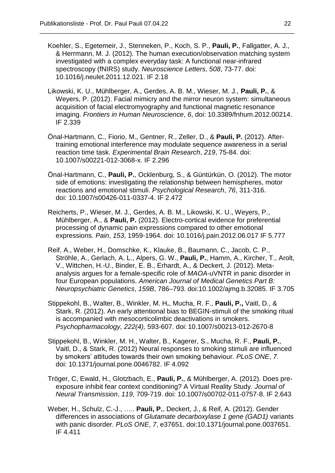Koehler, S., Egetemeir, J., Stenneken, P., Koch, S. P., **Pauli, P.**, Fallgatter, A. J., & Herrmann, M. J. (2012). The human execution/observation matching system investigated with a complex everyday task: A functional near-infrared spectroscopy (fNIRS) study. *Neuroscience Letters*, *508*, 73-77. doi: 10.1016/j.neulet.2011.12.021. IF 2.18

- Likowski, K. U., Mühlberger, A., Gerdes, A. B. M., Wieser, M. J., **Pauli, P.**, & Weyers, P. (2012). Facial mimicry and the mirror neuron system: simultaneous acquisition of facial electromyography and functional magnetic resonance imaging. *Frontiers in Human Neuroscience*, *6*, doi: 10.3389/fnhum.2012.00214. IF 2.339
- Önal-Hartmann, C., Fiorio, M., Gentner, R., Zeller, D., & **Pauli, P.** (2012). Aftertraining emotional interference may modulate sequence awareness in a serial reaction time task. *Experimental Brain Research*, *219*, 75-84. doi: 10.1007/s00221-012-3068-x. IF 2.296
- Önal-Hartmann, C., **Pauli, P.**, Ocklenburg, S., & Güntürkün, O. (2012). The motor side of emotions: investigating the relationship between hemispheres, motor reactions and emotional stimuli. *Psychological Research*, *76*, 311-316. doi: 10.1007/s00426-011-0337-4. IF 2.472
- Reicherts, P., Wieser, M. J., Gerdes, A. B. M., Likowski, K. U., Weyers, P., Mühlberger, A., & **Pauli, P.** (2012). Electro-cortical evidence for preferential processing of dynamic pain expressions compared to other emotional expressions. *Pain*, *153*, 1959-1964. doi: 10.1016/j.pain.2012.06.017 IF 5.777
- Reif, A., Weber, H., Domschke, K., Klauke, B., Baumann, C., Jacob, C. P., Ströhle, A., Gerlach, A. L., Alpers, G. W., **Pauli, P.**, Hamm, A., Kircher, T., Arolt, V., Wittchen, H.-U., Binder, E. B., Erhardt, A., & Deckert, J. (2012). Metaanalysis argues for a female-specific role of *MAOA*-uVNTR in panic disorder in four European populations. *American Journal of Medical Genetics Part B: Neuropsychiatric Genetics*, *159B*, 786–793. doi:10.1002/ajmg.b.32085. IF 3.705
- Stippekohl, B., Walter, B., Winkler, M. H**.**, Mucha, R. F., **Pauli, P.,** Vaitl, D., & Stark, R. (2012). An early attentional bias to BEGIN-stimuli of the smoking ritual is accompanied with mesocorticolimbic deactivations in smokers. *Psychopharmacology, 222(4),* 593-607. doi: 10.1007/s00213-012-2670-8
- Stippekohl, B., Winkler, M. H., Walter, B., Kagerer, S., Mucha, R. F., **Pauli, P.**, Vaitl, D., & Stark, R. (2012) Neural responses to smoking stimuli are influenced by smokers' attitudes towards their own smoking behaviour. *PLoS ONE*, *7.* doi: [10.1371/journal.pone.0046782.](http://dx.doi.org/10.1371%2Fjournal.pone.0046782) IF 4.092
- Tröger, C, Ewald, H., Glotzbach, E., **Pauli, P.**, & Mühlberger, A. (2012). Does preexposure inhibit fear context conditioning? A Virtual Reality Study. *Journal of Neural Transmission*, *119*, 709-719. doi: 10.1007/s00702-011-0757-8. IF 2.643
- Weber, H., Schulz, C.-J., ….. **Pauli, P.**, Deckert, J., & Reif, A. (2012). Gender differences in associations of *Glutamate decarboxylase 1 gene (GAD1)* variants with panic disorder. *PLoS ONE*, *7*, e37651. doi:10.1371/journal.pone.0037651. IF 4.411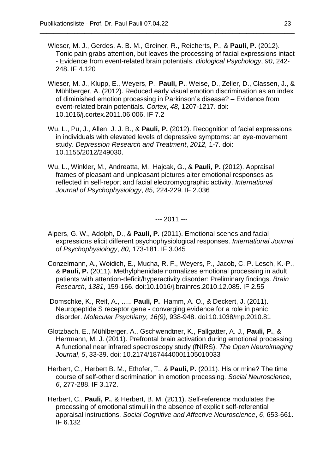Wieser, M. J., Gerdes, A. B. M., Greiner, R., Reicherts, P., & **Pauli, P.** (2012). Tonic pain grabs attention, but leaves the processing of facial expressions intact - Evidence from event-related brain potentials. *Biological Psychology*, *90*, 242- 248. IF 4.120

\_\_\_\_\_\_\_\_\_\_\_\_\_\_\_\_\_\_\_\_\_\_\_\_\_\_\_\_\_\_\_\_\_\_\_\_\_\_\_\_\_\_\_\_\_\_\_\_\_\_\_\_\_\_\_\_\_\_\_\_\_\_\_\_\_\_\_\_\_\_\_\_\_\_

- Wieser, M. J., Klupp, E., Weyers, P., **Pauli, P.**, Weise, D., Zeller, D., Classen, J., & Mühlberger, A. (2012). Reduced early visual emotion discrimination as an index of diminished emotion processing in Parkinson's disease? – Evidence from event-related brain potentials. *Cortex*, *48*, 1207-1217. doi: 10.1016/j.cortex.2011.06.006. IF 7.2
- Wu, L., Pu, J., Allen, J. J. B., & **Pauli, P.** (2012). Recognition of facial expressions in individuals with elevated levels of depressive symptoms: an eye-movement study. *Depression Research and Treatment*, *2012,* 1-7. doi: 10.1155/2012/249030.
- Wu, L., Winkler, M., Andreatta, M., Hajcak, G., & **Pauli, P.** (2012). Appraisal frames of pleasant and unpleasant pictures alter emotional responses as reflected in self-report and facial electromyographic activity. *International Journal of Psychophysiology*, *85*, 224-229. IF 2.036

--- 2011 ---

- Alpers, G. W., Adolph, D., & **Pauli, P.** (2011). Emotional scenes and facial expressions elicit different psychophysiological responses. *International Journal of Psychophysiology*, *80*, 173-181. IF 3.045
- Conzelmann, A., Woidich, E., Mucha, R. F., Weyers, P., Jacob, C. P. Lesch, K.-P., & **Pauli, P.** (2011). Methylphenidate normalizes emotional processing in adult patients with attention-deficit/hyperactivity disorder: Preliminary findings. *Brain Research*, *1381*, 159-166. doi:10.1016/j.brainres.2010.12.085. [IF 2.55](http://dx.doi.org/10.1016/j.brainres.2010.12.085.%20IF%202.55)
- Domschke, K., Reif, A., ….. **Pauli, P.**, Hamm, A. O., & Deckert, J. (2011). Neuropeptide S receptor gene - converging evidence for a role in panic disorder. *Molecular Psychiatry, 16(9),* 938-948. doi:10.1038/mp.2010.81
- Glotzbach, E., Mühlberger, A., Gschwendtner, K., Fallgatter, A. J., **Pauli, P.**, & Herrmann, M. J. (2011). Prefrontal brain activation during emotional processing: A functional near infrared spectroscopy study (fNIRS). *The Open Neuroimaging Journal*, *5*, 33-39. doi: 10.2174/1874440001105010033
- Herbert, C., Herbert B. M., Ethofer, T., & **Pauli, P.** (2011). His or mine? The time course of self-other discrimination in emotion processing. *Social Neuroscience*, *6*, 277-288. IF 3.172.
- Herbert, C., **Pauli, P.**, & Herbert, B. M. (2011). Self-reference modulates the processing of emotional stimuli in the absence of explicit self-referential appraisal instructions. *Social Cognitive and Affective Neuroscience*, *6*, 653-661. IF 6.132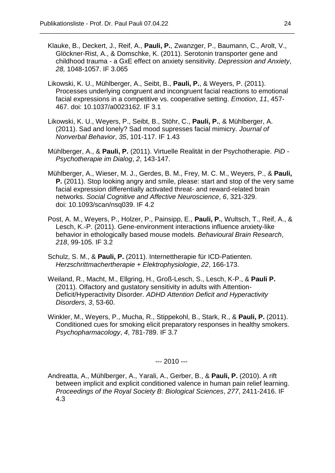Klauke, B., Deckert, J., Reif, A., **Pauli, P.**, Zwanzger, P., Baumann, C., Arolt, V., Glöckner-Rist, A., & Domschke, K. (2011). Serotonin transporter gene and childhood trauma - a GxE effect on anxiety sensitivity. *Depression and Anxiety*, *28,* 1048-1057. IF 3.065

\_\_\_\_\_\_\_\_\_\_\_\_\_\_\_\_\_\_\_\_\_\_\_\_\_\_\_\_\_\_\_\_\_\_\_\_\_\_\_\_\_\_\_\_\_\_\_\_\_\_\_\_\_\_\_\_\_\_\_\_\_\_\_\_\_\_\_\_\_\_\_\_\_\_

- Likowski, K. U., Mühlberger, A., Seibt, B., **Pauli, P.**, & Weyers, P. (2011). Processes underlying congruent and incongruent facial reactions to emotional facial expressions in a competitive vs. cooperative setting. *Emotion*, *11*, 457- 467. doi: 10.1037/a0023162. IF 3.1
- Likowski, K. U., Weyers, P., Seibt, B., Stöhr, C., **Pauli, P.**, & Mühlberger, A. (2011). Sad and lonely? Sad mood supresses facial mimicry. *Journal of Nonverbal Behavior*, *35*, 101-117. IF 1.43
- Mühlberger, A., & **Pauli, P.** (2011). Virtuelle Realität in der Psychotherapie. *PiD - Psychotherapie im Dialog*, *2*, 143-147.
- Mühlberger, A., Wieser, M. J., Gerdes, B. M., Frey, M. C. M., Weyers, P., & **Pauli, P.** (2011). Stop looking angry and smile, please: start and stop of the very same facial expression differentially activated threat- and reward-related brain networks. *Social Cognitive and Affective Neuroscience*, *6*, 321-329. doi: 10.1093/scan/nsq039. IF 4.2
- Post, A. M., Weyers, P., Holzer, P., Painsipp, E., **Pauli, P.**, Wultsch, T., Reif, A., & Lesch, K.-P. (2011). Gene-environment interactions influence anxiety-like behavior in ethologically based mouse models. *Behavioural Brain Research*, *218*, 99-105. IF 3.2
- Schulz, S. M., & **Pauli, P.** (2011). Internettherapie für ICD-Patienten. *Herzschrittmachertherapie + Elektrophysiologie*, *22*, 166-173.
- Weiland, R., Macht, M., Ellgring, H., Groß-Lesch, S., Lesch, K-P., & **Pauli P.** (2011). Olfactory and gustatory sensitivity in adults with Attention-Deficit/Hyperactivity Disorder. *ADHD Attention Deficit and Hyperactivity Disorders*, *3*, 53-60.
- Winkler, M., Weyers, P., Mucha, R., Stippekohl, B., Stark, R., & **Pauli, P.** (2011). Conditioned cues for smoking elicit preparatory responses in healthy smokers. *Psychopharmacology*, *4*, 781-789. IF 3.7

--- 2010 ---

Andreatta, A., Mühlberger, A., Yarali, A., Gerber, B., & **Pauli, P.** (2010). A rift between implicit and explicit conditioned valence in human pain relief learning. *Proceedings of the Royal Society B: Biological Sciences*, *277*, 2411-2416. IF 4.3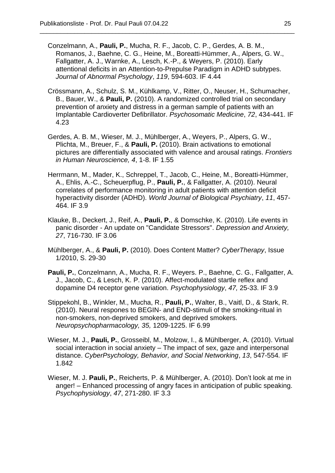Conzelmann, A., **Pauli, P.**, Mucha, R. F., Jacob, C. P., Gerdes, A. B. M., Romanos, J., Baehne, C. G., Heine, M., Boreatti-Hümmer, A., Alpers, G. W., Fallgatter, A. J., Warnke, A., Lesch, K.-P., & Weyers, P. (2010). Early attentional deficits in an Attention-to-Prepulse Paradigm in ADHD subtypes. *Journal of Abnormal Psychology*, *119*, 594-603. IF 4.44

- Crössmann, A., Schulz, S. M., Kühlkamp, V., Ritter, O., Neuser, H., Schumacher, B., Bauer, W., & **Pauli, P.** (2010). A randomized controlled trial on secondary prevention of anxiety and distress in a german sample of patients with an Implantable Cardioverter Defibrillator. *Psychosomatic Medicine*, *72*, 434-441. IF 4.23
- Gerdes, A. B. M., Wieser, M. J., Mühlberger, A., Weyers, P., Alpers, G. W., Plichta, M., Breuer, F., & **Pauli, P.** (2010). Brain activations to emotional pictures are differentially associated with valence and arousal ratings. *Frontiers in Human Neuroscience, 4*, 1-8. IF 1.55
- Herrmann, M., Mader, K., Schreppel, T., Jacob, C., Heine, M., Boreatti-Hümmer, A., Ehlis, A.-C., Scheuerpflug, P., **Pauli, P.**, & Fallgatter, A. (2010). Neural correlates of performance monitoring in adult patients with attention deficit hyperactivity disorder (ADHD). *World Journal of Biological Psychiatry*, *11*, 457- 464. IF 3.9
- Klauke, B., Deckert, J., Reif, A., **Pauli, P.**, & Domschke, K. (2010). Life events in panic disorder - An update on "Candidate Stressors". *Depression and Anxiety, 27*, 716-730. IF 3.06
- Mühlberger, A., & **Pauli, P.** (2010). Does Content Matter? *CyberTherapy*, Issue 1/2010, S. 29-30
- **Pauli, P.**, Conzelmann, A., Mucha, R. F., Weyers. P., Baehne, C. G., Fallgatter, A. J., Jacob, C., & Lesch, K. P. (2010). Affect-modulated startle reflex and dopamine D4 receptor gene variation. *Psychophysiology*, *47,* 25-33. IF 3.9
- Stippekohl, B., Winkler, M., Mucha, R., **Pauli, P.**, Walter, B., Vaitl, D., & Stark, R. (2010). Neural respones to BEGIN- and END-stimuli of the smoking-ritual in non-smokers, non-deprived smokers, and deprived smokers. *Neuropsychopharmacology, 35,* 1209-1225. IF 6.99
- Wieser, M. J., **Pauli, P.**, Grosseibl, M., Molzow, I., & Mühlberger, A. (2010). Virtual social interaction in social anxiety – The impact of sex, gaze and interpersonal distance. *CyberPsychology, Behavior, and Social Networking*, *13*, 547-554*.* IF 1.842
- Wieser, M. J. **Pauli, P.**, Reicherts, P. & Mühlberger, A. (2010). Don't look at me in anger! – Enhanced processing of angry faces in anticipation of public speaking. *Psychophysiology*, *47*, 271-280. IF 3.3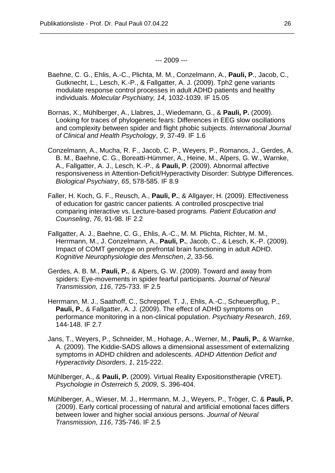--- 2009 ---

- Baehne, C. G., Ehlis, A.-C., Plichta, M. M., Conzelmann, A., **Pauli, P**., Jacob, C., Gutknecht, L., Lesch, K.-P., & Fallgatter, A. J. (2009). Tph2 gene variants modulate response control processes in adult ADHD patients and healthy individuals. *Molecular Psychiatry, 14,* 1032-1039. IF 15.05
- Bornas, X., Mühlberger, A., Llabres, J., Wiedemann, G., & **Pauli, P.** (2009). Looking for traces of phylogenetic fears: Differences in EEG slow oscillations and complexity between spider and flight phobic subjects. *International Journal of Clinical and Health Psychology*, *9*, 37-49. IF 1.6
- Conzelmann, A., Mucha, R. F., Jacob, C. P., Weyers, P., Romanos, J., Gerdes, A. B. M., Baehne, C. G., Boreatti-Hümmer, A., Heine, M., Alpers, G. W., Warnke, A., Fallgatter, A. J., Lesch, K.-P., & **Pauli, P**. (2009). Abnormal affective responsiveness in Attention-Deficit/Hyperactivity Disorder: Subtype Differences. *Biological Psychiatry*, *65*, 578-585. IF 8.9
- Faller, H. Koch, G. F., Reusch, A., **Pauli, P.**, & Allgayer, H. (2009). Effectiveness of education for gastric cancer patients. A controlled proscpective trial comparing interactive vs. Lecture-based programs. *Patient Education and Counseling*, *76*, 91-98. IF 2.2
- Fallgatter, A. J., Baehne, C. G., Ehlis, A.-C., M. M. Plichta, Richter, M. M., Herrmann, M., J. Conzelmann, A., **Pauli, P.**, Jacob, C., & Lesch, K.-P. (2009). Impact of COMT genotype on prefrontal brain functioning in adult ADHD. *Kognitive Neurophysiologie des Menschen*, *2*, 33-56.
- Gerdes, A. B. M., **Pauli, P.**, & Alpers, G. W. (2009). Toward and away from spiders: Eye-movements in spider fearful participants. *Journal of Neural Transmission, 116*, 725-733. IF 2.5
- Herrmann, M. J., Saathoff, C., Schreppel, T. J., Ehlis, A.-C., Scheuerpflug, P., **Pauli, P.**, & Fallgatter, A. J. (2009). The effect of ADHD symptoms on performance monitoring in a non-clinical population. *Psychiatry Research*, *169*, 144-148. IF 2.7
- Jans, T., Weyers, P., Schneider, M., Hohage, A., Werner, M., **Pauli, P.**, & Warnke, A. (2009). The Kiddie-SADS allows a dimensional assessment of externalizing symptoms in ADHD children and adolescents. *ADHD Attention Deficit and Hyperactivity Disorders*, *1*, 215-222.
- Mühlberger, A., & **Pauli, P.** (2009). Virtual Reality Expositionstherapie (VRET). *Psychologie in Österreich 5, 2009,* S. 396-404.
- Mühlberger, A., Wieser, M. J., Herrmann, M. J., Weyers, P., Tröger, C. & **Pauli, P.** (2009). Early cortical processing of natural and artificial emotional faces differs between lower and higher social anxious persons. *Journal of Neural Transmission, 116*, 735-746. IF 2.5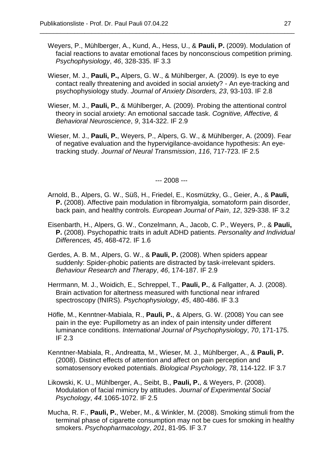Weyers, P., Mühlberger, A., Kund, A., Hess, U., & **Pauli, P.** (2009). Modulation of facial reactions to avatar emotional faces by nonconscious competition priming. *Psychophysiology*, *46*, 328-335. IF 3.3

\_\_\_\_\_\_\_\_\_\_\_\_\_\_\_\_\_\_\_\_\_\_\_\_\_\_\_\_\_\_\_\_\_\_\_\_\_\_\_\_\_\_\_\_\_\_\_\_\_\_\_\_\_\_\_\_\_\_\_\_\_\_\_\_\_\_\_\_\_\_\_\_\_\_

- Wieser, M. J., **Pauli, P.,** Alpers, G. W., & Mühlberger, A. (2009). Is eye to eye contact really threatening and avoided in social anxiety? - An eye-tracking and psychophysiology study. *Journal of Anxiety Disorders, 23*, 93-103. IF 2.8
- Wieser, M. J., **Pauli, P.**, & Mühlberger, A. (2009). Probing the attentional control theory in social anxiety: An emotional saccade task. *Cognitive, Affective, & Behavioral Neuroscience*, *9*, 314-322. IF 2.9
- Wieser, M. J., **Pauli, P.**, Weyers, P., Alpers, G. W., & Mühlberger, A. (2009). Fear of negative evaluation and the hypervigilance-avoidance hypothesis: An eyetracking study. *Journal of Neural Transmission*, *116*, 717-723. IF 2.5

--- 2008 ---

- Arnold, B., Alpers, G. W., Süß, H., Friedel, E., Kosmützky, G., Geier, A., & **Pauli, P.** (2008). Affective pain modulation in fibromyalgia, somatoform pain disorder, back pain, and healthy controls. *European Journal of Pain*, *12*, 329-338. IF 3.2
- Eisenbarth, H., Alpers, G. W., Conzelmann, A., Jacob, C. P., Weyers, P., & **Pauli, P.** (2008). Psychopathic traits in adult ADHD patients. *Personality and Individual Differences, 45*, 468-472. IF 1.6
- Gerdes, A. B. M., Alpers, G. W., & **Pauli, P.** (2008). When spiders appear suddenly: Spider-phobic patients are distracted by task-irrelevant spiders. *Behaviour Research and Therapy*, *46*, 174-187. IF 2.9
- Herrmann, M. J., Woidich, E., Schreppel, T., **Pauli, P.**, & Fallgatter, A. J. (2008). Brain activation for altertness measured with functional near infrared spectroscopy (fNIRS). *Psychophysiology*, *45*, 480-486. IF 3.3
- Höfle, M., Kenntner-Mabiala, R., **Pauli, P.**, & Alpers, G. W. (2008) You can see pain in the eye: Pupillometry as an index of pain intensity under different luminance conditions. *International Journal of Psychophysiology*, *70*, 171-175. IF 2.3
- Kenntner-Mabiala, R., Andreatta, M., Wieser, M. J., Mühlberger, A., & **Pauli, P.** (2008). Distinct effects of attention and affect on pain perception and somatosensory evoked potentials. *Biological Psychology*, *78*, 114-122. IF 3.7
- Likowski, K. U., Mühlberger, A., Seibt, B., **Pauli, P.**, & Weyers, P. (2008). Modulation of facial mimicry by attitudes. *Journal of Experimental Social Psychology*, *44*, 1065-1072. IF 2.5
- Mucha, R. F., **Pauli, P.**, Weber, M., & Winkler, M. (2008). Smoking stimuli from the terminal phase of cigarette consumption may not be cues for smoking in healthy smokers. *Psychopharmacology*, *201*, 81-95. IF 3.7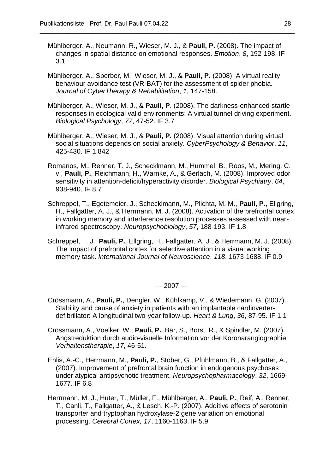Mühlberger, A., Neumann, R., Wieser, M. J., & **Pauli, P.** (2008). The impact of changes in spatial distance on emotional responses. *Emotion*, *8*, 192-198. IF 3.1

\_\_\_\_\_\_\_\_\_\_\_\_\_\_\_\_\_\_\_\_\_\_\_\_\_\_\_\_\_\_\_\_\_\_\_\_\_\_\_\_\_\_\_\_\_\_\_\_\_\_\_\_\_\_\_\_\_\_\_\_\_\_\_\_\_\_\_\_\_\_\_\_\_\_

- Mühlberger, A., Sperber, M., Wieser, M. J., & **Pauli, P.** (2008). A virtual reality behaviour avoidance test (VR-BAT) for the assessment of spider phobia. *Journal of CyberTherapy & Rehabilitation*, *1*, 147-158.
- Mühlberger, A., Wieser, M. J., & **Pauli, P**. (2008). The darkness-enhanced startle responses in ecological valid environments: A virtual tunnel driving experiment. *Biological Psychology*, *77*, 47-52. IF 3.7
- Mühlberger, A., Wieser, M. J., & **Pauli, P.** (2008). Visual attention during virtual social situations depends on social anxiety. *CyberPsychology & Behavior*, *11*, 425-430. IF 1.842
- Romanos, M., Renner, T. J., Schecklmann, M., Hummel, B., Roos, M., Mering, C. v., **Pauli, P.**, Reichmann, H., Warnke, A., & Gerlach, M. (2008). Improved odor sensitivity in attention-deficit/hyperactivity disorder. *Biological Psychiatry*, *64*, 938-940. IF 8.7
- Schreppel, T., Egetemeier, J., Schecklmann, M., Plichta, M. M., **Pauli, P.**, Ellgring, H., Fallgatter, A. J., & Herrmann, M. J. (2008). Activation of the prefrontal cortex in working memory and interference resolution processes assessed with nearinfrared spectroscopy. *Neuropsychobiology*, *57*, 188-193. IF 1.8
- Schreppel, T. J., **Pauli, P.**, Ellgring, H., Fallgatter, A. J., & Herrmann, M. J. (2008). The impact of prefrontal cortex for selective attention in a visual working memory task. *International Journal of Neuroscience*, *118*, 1673-1688. IF 0.9

--- 2007 ---

- Crössmann, A., **Pauli, P.**, Dengler, W., Kühlkamp, V., & Wiedemann, G. (2007). Stability and cause of anxiety in patients with an implantable cardioverterdefibrillator: A longitudinal two-year follow-up. *Heart & Lung*, *36*, 87-95. IF 1.1
- Crössmann, A., Voelker, W., **Pauli, P.**, Bär, S., Borst, R., & Spindler, M. (2007). Angstreduktion durch audio-visuelle Information vor der Koronarangiographie. *Verhaltenstherapie*, *17*, 46-51.
- Ehlis, A.-C., Herrmann, M., **Pauli, P.**, Stöber, G., Pfuhlmann, B., & Fallgatter, A., (2007). Improvement of prefrontal brain function in endogenous psychoses under atypical antipsychotic treatment. *Neuropsychopharmacology*, *32*, 1669- 1677. IF 6.8
- Herrmann, M. J., Huter, T., Müller, F., Mühlberger, A., **Pauli, P.**, Reif, A., Renner, T., Canli, T., Fallgatter, A., & Lesch, K.-P. (2007). Additive effects of serotonin transporter and tryptophan hydroxylase-2 gene variation on emotional processing. *Cerebral Cortex, 17*, 1160-1163. IF 5.9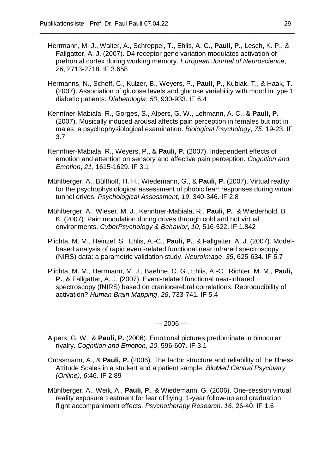Herrmann, M. J., Walter, A., Schreppel, T., Ehlis, A. C., **Pauli, P.**, Lesch, K. P., & Fallgatter, A. J. (2007). D4 receptor gene variation modulates activation of prefrontal cortex during working memory. *European Journal of Neuroscience*, *26*, 2713-2718. IF 3.658

\_\_\_\_\_\_\_\_\_\_\_\_\_\_\_\_\_\_\_\_\_\_\_\_\_\_\_\_\_\_\_\_\_\_\_\_\_\_\_\_\_\_\_\_\_\_\_\_\_\_\_\_\_\_\_\_\_\_\_\_\_\_\_\_\_\_\_\_\_\_\_\_\_\_

- Hermanns, N., Scheff, C., Kulzer, B., Weyers, P., **Pauli, P.**, Kubiak, T., & Haak, T. (2007). Association of glucose levels and glucose variability with mood in type 1 diabetic patients. *Diabetologia*, *50*, 930-933. IF 6.4
- Kenntner-Mabiala, R., Gorges, S., Alpers, G. W., Lehmann, A. C., & **Pauli, P.** (2007). Musically induced arousal affects pain perception in females but not in males: a psychophysiological examination. *Biological Psychology*, *75*, 19-23. IF 3.7
- Kenntner-Mabiala, R., Weyers, P., & **Pauli, P.** (2007). Independent effects of emotion and attention on sensory and affective pain perception. *Cognition and Emotion*, *21*, 1615-1629. IF 3.1
- Mühlberger, A., Bülthoff, H. H., Wiedemann, G., & **Pauli, P.** (2007). Virtual reality for the psychophysiological assessment of phobic fear: responses during virtual tunnel drives. *Psychological Assessment*, *19*, 340-346. IF 2.8
- Mühlberger, A., Wieser, M. J., Kenntner-Mabiala, R., **Pauli, P.**, & Wiederhold, B. K. (2007). Pain modulation during drives through cold and hot virtual environments. *CyberPsychology & Behavior*, *10*, 516-522. IF 1.842
- Plichta, M. M., Heinzel, S., Ehlis, A.-C., **Pauli, P.**, & Fallgatter, A. J. (2007). Modelbased analysis of rapid event-related functional near infrared spectroscopy (NIRS) data: a parametric validation study. *NeuroImage*, *35*, 625-634. IF 5.7
- Plichta, M. M., Herrmann, M. J., Baehne, C. G., Ehlis, A.-C., Richter, M. M., **Pauli, P.**, & Fallgatter, A. J. (2007). Event-related functional near-infrared spectroscopy (fNIRS) based on craniocerebral correlations: Reproducibility of activation? *Human Brain Mapping*, *28*, 733-741. IF 5.4

--- 2006 ---

- Alpers, G. W., & **Pauli, P.** (2006). Emotional pictures predominate in binocular rivalry. *Cognition and Emotion*, *20*, 596-607. IF 3.1
- Crössmann, A., & **Pauli, P.** (2006). The factor structure and reliability of the Illness Attitude Scales in a student and a patient sample. *BioMed Central Psychiatry (Online)*, *6*:46. IF 2.89
- Mühlberger, A., Weik, A., **Pauli, P.**, & Wiedemann, G. (2006). One-session virtual reality exposure treatment for fear of flying: 1-year follow-up and graduation flight accompaniment effects. *Psychotherapy Research, 16*, 26-40. IF 1.6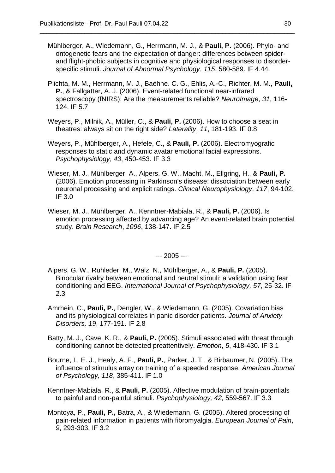Mühlberger, A., Wiedemann, G., Herrmann, M. J., & **Pauli, P.** (2006). Phylo- and ontogenetic fears and the expectation of danger: differences between spiderand flight-phobic subjects in cognitive and physiological responses to disorderspecific stimuli. *Journal of Abnormal Psychology*, *115*, 580-589. IF 4.44

\_\_\_\_\_\_\_\_\_\_\_\_\_\_\_\_\_\_\_\_\_\_\_\_\_\_\_\_\_\_\_\_\_\_\_\_\_\_\_\_\_\_\_\_\_\_\_\_\_\_\_\_\_\_\_\_\_\_\_\_\_\_\_\_\_\_\_\_\_\_\_\_\_\_

- Plichta, M. M., Herrmann, M. J., Baehne. C. G., Ehlis, A.-C., Richter, M. M., **Pauli, P.**, & Fallgatter, A. J. (2006). Event-related functional near-infrared spectroscopy (fNIRS): Are the measurements reliable? *NeuroImage*, *31*, 116- 124. IF 5.7
- Weyers, P., Milnik, A., Müller, C., & **Pauli, P.** (2006). How to choose a seat in theatres: always sit on the right side? *Laterality*, *11*, 181-193. IF 0.8
- Weyers, P., Mühlberger, A., Hefele, C., & **Pauli, P.** (2006). Electromyografic responses to static and dynamic avatar emotional facial expressions. *Psychophysiology*, *43*, 450-453. IF 3.3
- Wieser, M. J., Mühlberger, A., Alpers, G. W., Macht, M., Ellgring, H., & **Pauli, P.** (2006). Emotion processing in Parkinson's disease: dissociation between early neuronal processing and explicit ratings. *Clinical Neurophysiology*, *117*, 94-102. IF 3.0
- Wieser, M. J., Mühlberger, A., Kenntner-Mabiala, R., & **Pauli, P.** (2006). Is emotion processing affected by advancing age? An event-related brain potential study. *Brain Research*, *1096*, 138-147. IF 2.5

--- 2005 ---

- Alpers, G. W., Ruhleder, M., Walz, N., Mühlberger, A., & **Pauli, P.** (2005). Binocular rivalry between emotional and neutral stimuli: a validation using fear conditioning and EEG. *International Journal of Psychophysiology, 57*, 25-32. IF 2.3
- Amrhein, C., **Pauli, P.**, Dengler, W., & Wiedemann, G. (2005). Covariation bias and its physiological correlates in panic disorder patients. *Journal of Anxiety Disorders, 19*, 177-191. IF 2.8
- Batty, M. J., Cave, K. R., & **Pauli, P.** (2005). Stimuli associated with threat through conditioning cannot be detected preattentively. *Emotion*, *5*, 418-430. IF 3.1
- Bourne, L. E. J., Healy, A. F., **Pauli, P.**, Parker, J. T., & Birbaumer, N. (2005). The influence of stimulus array on training of a speeded response. *American Journal of Psychology, 118*, 385-411. IF 1.0
- Kenntner-Mabiala, R., & **Pauli, P.** (2005). Affective modulation of brain-potentials to painful and non-painful stimuli. *Psychophysiology, 42,* 559-567. IF 3.3
- Montoya, P., **Pauli, P.,** Batra, A., & Wiedemann, G. (2005). Altered processing of pain-related information in patients with fibromyalgia. *European Journal of Pain*, *9*, 293-303. IF 3.2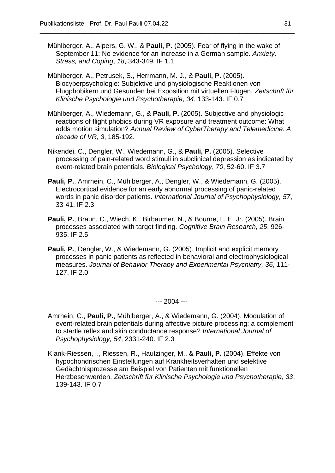Mühlberger, A., Alpers, G. W., & **Pauli, P.** (2005). Fear of flying in the wake of September 11: No evidence for an increase in a German sample. *Anxiety, Stress, and Coping*, *18*, 343-349. IF 1.1

\_\_\_\_\_\_\_\_\_\_\_\_\_\_\_\_\_\_\_\_\_\_\_\_\_\_\_\_\_\_\_\_\_\_\_\_\_\_\_\_\_\_\_\_\_\_\_\_\_\_\_\_\_\_\_\_\_\_\_\_\_\_\_\_\_\_\_\_\_\_\_\_\_\_

- Mühlberger, A., Petrusek, S., Herrmann, M. J., & **Pauli, P.** (2005). Biocyberpsychologie: Subjektive und physiologische Reaktionen von Flugphobikern und Gesunden bei Exposition mit virtuellen Flügen. *Zeitschrift für Klinische Psychologie und Psychotherapie*, *34*, 133-143. IF 0.7
- Mühlberger, A., Wiedemann, G., & **Pauli, P.** (2005). Subjective and physiologic reactions of flight phobics during VR exposure and treatment outcome: What adds motion simulation? *Annual Review of CyberTherapy and Telemedicine: A decade of VR*, *3*, 185-192.
- Nikendei, C., Dengler, W., Wiedemann, G., & **Pauli, P.** (2005). Selective processing of pain-related word stimuli in subclinical depression as indicated by event-related brain potentials. *Biological Psychology*, *70*, 52-60. IF 3.7
- **Pauli, P.**, Amrhein, C., Mühlberger, A., Dengler, W., & Wiedemann, G. (2005). Electrocortical evidence for an early abnormal processing of panic-related words in panic disorder patients. *International Journal of Psychophysiology, 57*, 33-41. IF 2.3
- **Pauli, P.**, Braun, C., Wiech, K., Birbaumer, N., & Bourne, L. E. Jr. (2005). Brain processes associated with target finding. *Cognitive Brain Research, 25*, 926- 935. IF 2.5
- **Pauli, P.**, Dengler, W., & Wiedemann, G. (2005). Implicit and explicit memory processes in panic patients as reflected in behavioral and electrophysiological measures. *Journal of Behavior Therapy and Experimental Psychiatry, 36*, 111- 127. IF 2.0

--- 2004 ---

- Amrhein, C., **Pauli, P.**, Mühlberger, A., & Wiedemann, G. (2004). Modulation of event-related brain potentials during affective picture processing: a complement to startle reflex and skin conductance response? *International Journal of Psychophysiology, 54*, 2331-240. IF 2.3
- Klank-Riessen, I., Riessen, R., Hautzinger, M., & **Pauli, P.** (2004). Effekte von hypochondrischen Einstellungen auf Krankheitsverhalten und selektive Gedächtnisprozesse am Beispiel von Patienten mit funktionellen Herzbeschwerden. *Zeitschrift für Klinische Psychologie und Psychotherapie, 33*, 139-143. IF 0.7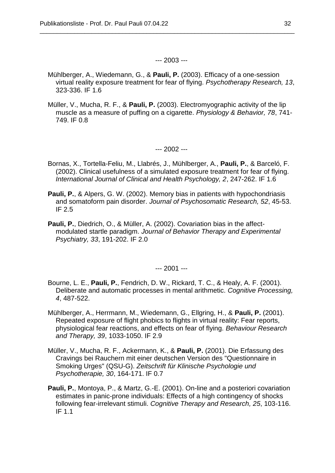### --- 2003 ---

\_\_\_\_\_\_\_\_\_\_\_\_\_\_\_\_\_\_\_\_\_\_\_\_\_\_\_\_\_\_\_\_\_\_\_\_\_\_\_\_\_\_\_\_\_\_\_\_\_\_\_\_\_\_\_\_\_\_\_\_\_\_\_\_\_\_\_\_\_\_\_\_\_\_

- Mühlberger, A., Wiedemann, G., & **Pauli, P.** (2003). Efficacy of a one-session virtual reality exposure treatment for fear of flying. *Psychotherapy Research, 13*, 323-336. IF 1.6
- Müller, V., Mucha, R. F., & **Pauli, P.** (2003). Electromyographic activity of the lip muscle as a measure of puffing on a cigarette. *Physiology & Behavior, 78*, 741- 749. IF 0.8

--- 2002 ---

- Bornas, X., Tortella-Feliu, M., Llabrés, J., Mühlberger, A., **Pauli, P.**, & Barceló, F. (2002). Clinical usefulness of a simulated exposure treatment for fear of flying. *International Journal of Clinical and Health Psychology, 2*, 247-262. IF 1.6
- **Pauli, P.**, & Alpers, G. W. (2002). Memory bias in patients with hypochondriasis and somatoform pain disorder. *Journal of Psychosomatic Research, 52*, 45-53. IF 2.5
- **Pauli, P.**, Diedrich, O., & Müller, A. (2002). Covariation bias in the affectmodulated startle paradigm. *Journal of Behavior Therapy and Experimental Psychiatry, 33*, 191-202. IF 2.0

--- 2001 ---

- Bourne, L. E., **Pauli, P.**, Fendrich, D. W., Rickard, T. C., & Healy, A. F. (2001). Deliberate and automatic processes in mental arithmetic. *Cognitive Processing, 4*, 487-522.
- Mühlberger, A., Herrmann, M., Wiedemann, G., Ellgring, H., & **Pauli, P.** (2001). Repeated exposure of flight phobics to flights in virtual reality: Fear reports, physiological fear reactions, and effects on fear of flying. *Behaviour Research and Therapy, 39*, 1033-1050. IF 2.9
- Müller, V., Mucha, R. F., Ackermann, K., & **Pauli, P.** (2001). Die Erfassung des Cravings bei Rauchern mit einer deutschen Version des "Questionnaire in Smoking Urges" (QSU-G). *Zeitschrift für Klinische Psychologie und Psychotherapie, 30*, 164-171. IF 0.7
- **Pauli, P.**, Montoya, P., & Martz, G.-E. (2001). On-line and a posteriori covariation estimates in panic-prone individuals: Effects of a high contingency of shocks following fear-irrelevant stimuli. *Cognitive Therapy and Research, 25*, 103-116. IF 1.1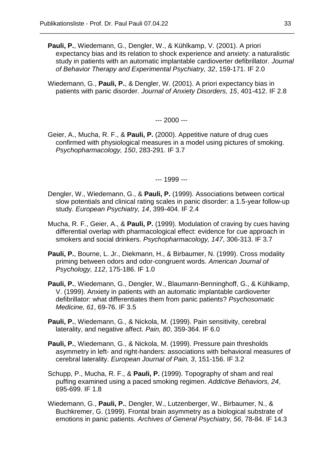**Pauli, P.**, Wiedemann, G., Dengler, W., & Kühlkamp, V. (2001). A priori expectancy bias and its relation to shock experience and anxiety: a naturalistic study in patients with an automatic implantable cardioverter defibrillator. *Journal of Behavior Therapy and Experimental Psychiatry, 32*, 159-171. IF 2.0

\_\_\_\_\_\_\_\_\_\_\_\_\_\_\_\_\_\_\_\_\_\_\_\_\_\_\_\_\_\_\_\_\_\_\_\_\_\_\_\_\_\_\_\_\_\_\_\_\_\_\_\_\_\_\_\_\_\_\_\_\_\_\_\_\_\_\_\_\_\_\_\_\_\_

Wiedemann, G., **Pauli, P.**, & Dengler, W. (2001). A priori expectancy bias in patients with panic disorder. *Journal of Anxiety Disorders, 15*, 401-412. IF 2.8

--- 2000 ---

Geier, A., Mucha, R. F., & **Pauli, P.** (2000). Appetitive nature of drug cues confirmed with physiological measures in a model using pictures of smoking. *Psychopharmacology, 150*, 283-291. IF 3.7

--- 1999 ---

- Dengler, W., Wiedemann, G., & **Pauli, P.** (1999). Associations between cortical slow potentials and clinical rating scales in panic disorder: a 1.5-year follow-up study. *European Psychiatry, 14*, 399-404. IF 2.4
- Mucha, R. F., Geier, A., & **Pauli, P.** (1999). Modulation of craving by cues having differential overlap with pharmacological effect: evidence for cue approach in smokers and social drinkers. *Psychopharmacology, 147*, 306-313. IF 3.7
- **Pauli, P.**, Bourne, L. Jr., Diekmann, H., & Birbaumer, N. (1999). Cross modality priming between odors and odor-congruent words. *American Journal of Psychology, 112*, 175-186. IF 1.0
- **Pauli, P.**, Wiedemann, G., Dengler, W., Blaumann-Benninghoff, G., & Kühlkamp, V. (1999). Anxiety in patients with an automatic implantable cardioverter defibrillator: what differentiates them from panic patients? *Psychosomatic Medicine, 61*, 69-76. IF 3.5
- **Pauli, P.**, Wiedemann, G., & Nickola, M. (1999). Pain sensitivity, cerebral laterality, and negative affect. *Pain, 80*, 359-364. IF 6.0
- **Pauli, P.**, Wiedemann, G., & Nickola, M. (1999). Pressure pain thresholds asymmetry in left- and right-handers: associations with behavioral measures of cerebral laterality. *European Journal of Pain, 3*, 151-156. IF 3.2
- Schupp, P., Mucha, R. F., & **Pauli, P.** (1999). Topography of sham and real puffing examined using a paced smoking regimen. *Addictive Behaviors, 24*, 695-699. IF 1.8
- Wiedemann, G., **Pauli, P.**, Dengler, W., Lutzenberger, W., Birbaumer, N., & Buchkremer, G. (1999). Frontal brain asymmetry as a biological substrate of emotions in panic patients. *Archives of General Psychiatry, 56*, 78-84. IF 14.3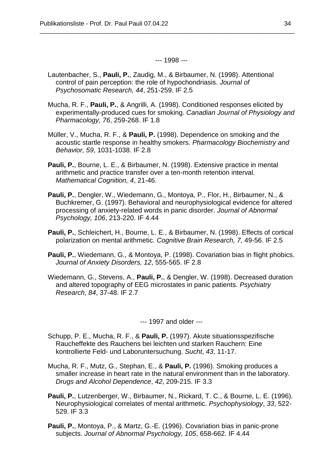--- 1998 ---

\_\_\_\_\_\_\_\_\_\_\_\_\_\_\_\_\_\_\_\_\_\_\_\_\_\_\_\_\_\_\_\_\_\_\_\_\_\_\_\_\_\_\_\_\_\_\_\_\_\_\_\_\_\_\_\_\_\_\_\_\_\_\_\_\_\_\_\_\_\_\_\_\_\_

- Lautenbacher, S., **Pauli, P.**, Zaudig, M., & Birbaumer, N. (1998). Attentional control of pain perception: the role of hypochondriasis. *Journal of Psychosomatic Research, 44*, 251-259. IF 2.5
- Mucha, R. F., **Pauli, P.**, & Angrilli, A. (1998). Conditioned responses elicited by experimentally-produced cues for smoking. *Canadian Journal of Physiology and Pharmacology, 76*, 259-268. IF 1.8
- Müller, V., Mucha, R. F., & **Pauli, P.** (1998). Dependence on smoking and the acoustic startle response in healthy smokers. *Pharmacology Biochemistry and Behavior, 59*, 1031-1038. IF 2.8
- **Pauli, P.**, Bourne, L. E., & Birbaumer, N. (1998). Extensive practice in mental arithmetic and practice transfer over a ten-month retention interval. *Mathematical Cognition, 4*, 21-46.
- **Pauli, P.**, Dengler, W., Wiedemann, G., Montoya, P., Flor, H., Birbaumer, N., & Buchkremer, G. (1997). Behavioral and neurophysiological evidence for altered processing of anxiety-related words in panic disorder. *Journal of Abnormal Psychology, 106*, 213-220. IF 4.44
- **Pauli, P.**, Schleichert, H., Bourne, L. E., & Birbaumer, N. (1998). Effects of cortical polarization on mental arithmetic. *Cognitive Brain Research, 7,* 49-56. IF 2.5
- **Pauli, P.**, Wiedemann, G., & Montoya, P. (1998). Covariation bias in flight phobics. *Journal of Anxiety Disorders, 12*, 555-565. IF 2.8
- Wiedemann, G., Stevens, A., **Pauli, P.**, & Dengler, W. (1998). Decreased duration and altered topography of EEG microstates in panic patients. *Psychiatry Research, 84*, 37-48. IF 2.7

--- 1997 and older ---

- Schupp, P. E., Mucha, R. F., & **Pauli, P.** (1997). Akute situationsspezifische Raucheffekte des Rauchens bei leichten und starken Rauchern: Eine kontrollierte Feld- und Laboruntersuchung. *Sucht*, *43*, 11-17.
- Mucha, R. F., Mutz, G., Stephan, E., & **Pauli, P.** (1996). Smoking produces a smaller increase in heart rate in the natural environment than in the laboratory. *Drugs and Alcohol Dependence*, *42*, 209-215. IF 3.3
- **Pauli, P.**, Lutzenberger, W., Birbaumer, N., Rickard, T. C., & Bourne, L. E. (1996). Neurophysiological correlates of mental arithmetic. *Psychophysiology*, *33*, 522- 529. IF 3.3
- **Pauli, P.**, Montoya, P., & Martz, G.-E. (1996). Covariation bias in panic-prone subjects. *Journal of Abnormal Psychology, 105*, 658-662. IF 4.44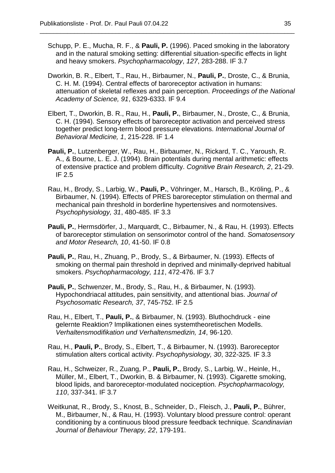Schupp, P. E., Mucha, R. F., & **Pauli, P.** (1996). Paced smoking in the laboratory and in the natural smoking setting: differential situation-specific effects in light and heavy smokers. *Psychopharmacology*, *127*, 283-288. IF 3.7

- Dworkin, B. R., Elbert, T., Rau, H., Birbaumer, N., **Pauli, P.**, Droste, C., & Brunia, C. H. M. (1994). Central effects of baroreceptor activation in humans: attenuation of skeletal reflexes and pain perception. *Proceedings of the National Academy of Science, 91*, 6329-6333. IF 9.4
- Elbert, T., Dworkin, B. R., Rau, H., **Pauli, P.**, Birbaumer, N., Droste, C., & Brunia, C. H. (1994). Sensory effects of baroreceptor activation and perceived stress together predict long-term blood pressure elevations. *International Journal of Behavioral Medicine, 1*, 215-228. IF 1.4
- **Pauli, P.**, Lutzenberger, W., Rau, H., Birbaumer, N., Rickard, T. C., Yaroush, R. A., & Bourne, L. E. J. (1994). Brain potentials during mental arithmetic: effects of extensive practice and problem difficulty. *Cognitive Brain Research, 2*, 21-29. IF 2.5
- Rau, H., Brody, S., Larbig, W., **Pauli, P.**, Vöhringer, M., Harsch, B., Kröling, P., & Birbaumer, N. (1994). Effects of PRES baroreceptor stimulation on thermal and mechanical pain threshold in borderline hypertensives and normotensives. *Psychophysiology, 31*, 480-485. IF 3.3
- **Pauli, P.**, Hermsdörfer, J., Marquardt, C., Birbaumer, N., & Rau, H. (1993). Effects of baroreceptor stimulation on sensorimotor control of the hand. *Somatosensory and Motor Research, 10*, 41-50. IF 0.8
- **Pauli, P.**, Rau, H., Zhuang, P., Brody, S., & Birbaumer, N. (1993). Effects of smoking on thermal pain threshold in deprived and minimally-deprived habitual smokers. *Psychopharmacology, 111*, 472-476. IF 3.7
- **Pauli, P.**, Schwenzer, M., Brody, S., Rau, H., & Birbaumer, N. (1993). Hypochondriacal attitudes, pain sensitivity, and attentional bias. *Journal of Psychosomatic Research, 37*, 745-752. IF 2.5
- Rau, H., Elbert, T., **Pauli, P.**, & Birbaumer, N. (1993). Bluthochdruck eine gelernte Reaktion? Implikationen eines systemtheoretischen Modells. *Verhaltensmodifikation und Verhaltensmedizin, 14*, 96-120.
- Rau, H., **Pauli, P.**, Brody, S., Elbert, T., & Birbaumer, N. (1993). Baroreceptor stimulation alters cortical activity. *Psychophysiology, 30*, 322-325. IF 3.3
- Rau, H., Schweizer, R., Zuang, P., **Pauli, P.**, Brody, S., Larbig, W., Heinle, H., Müller, M., Elbert, T., Dworkin, B. & Birbaumer, N. (1993). Cigarette smoking, blood lipids, and baroreceptor-modulated nociception. *Psychopharmacology, 110*, 337-341. IF 3.7
- Weitkunat, R., Brody, S., Knost, B., Schneider, D., Fleisch, J., **Pauli, P.**, Bührer, M., Birbaumer, N., & Rau, H. (1993). Voluntary blood pressure control: operant conditioning by a continuous blood pressure feedback technique. *Scandinavian Journal of Behaviour Therapy, 22*, 179-191.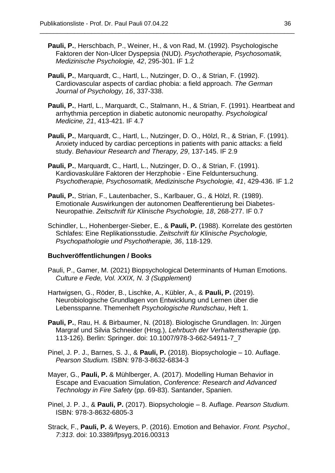**Pauli, P.**, Herschbach, P., Weiner, H., & von Rad, M. (1992). Psychologische Faktoren der Non-Ulcer Dyspepsia (NUD). *Psychotherapie, Psychosomatik, Medizinische Psychologie, 42*, 295-301. IF 1.2

\_\_\_\_\_\_\_\_\_\_\_\_\_\_\_\_\_\_\_\_\_\_\_\_\_\_\_\_\_\_\_\_\_\_\_\_\_\_\_\_\_\_\_\_\_\_\_\_\_\_\_\_\_\_\_\_\_\_\_\_\_\_\_\_\_\_\_\_\_\_\_\_\_\_

- **Pauli, P.**, Marquardt, C., Hartl, L., Nutzinger, D. O., & Strian, F. (1992). Cardiovascular aspects of cardiac phobia: a field approach. *The German Journal of Psychology, 16*, 337-338.
- **Pauli, P.**, Hartl, L., Marquardt, C., Stalmann, H., & Strian, F. (1991). Heartbeat and arrhythmia perception in diabetic autonomic neuropathy. *Psychological Medicine, 21*, 413-421. IF 4.7
- **Pauli, P.**, Marquardt, C., Hartl, L., Nutzinger, D. O., Hölzl, R., & Strian, F. (1991). Anxiety induced by cardiac perceptions in patients with panic attacks: a field study. *Behaviour Research and Therapy, 29*, 137-145. IF 2.9
- **Pauli, P.**, Marquardt, C., Hartl, L., Nutzinger, D. O., & Strian, F. (1991). Kardiovaskuläre Faktoren der Herzphobie - Eine Felduntersuchung. *Psychotherapie, Psychosomatik, Medizinische Psychologie, 41*, 429-436. IF 1.2
- **Pauli, P.**, Strian, F., Lautenbacher, S., Karlbauer, G., & Hölzl, R. (1989). Emotionale Auswirkungen der autonomen Deafferentierung bei Diabetes-Neuropathie. *Zeitschrift für Klinische Psychologie, 18*, 268-277. IF 0.7
- Schindler, L., Hohenberger-Sieber, E., & **Pauli, P.** (1988). Korrelate des gestörten Schlafes: Eine Replikationsstudie. *Zeitschrift für Klinische Psychologie, Psychopathologie und Psychotherapie, 36*, 118-129.

## **Buchveröffentlichungen / Books**

- Pauli, P., Gamer, M. (2021) Biopsychological Determinants of Human Emotions. *Culture e Fede, Vol. XXIX, N. 3 (Supplement)*
- Hartwigsen, G., Röder, B., Lischke, A., Kübler, A., & **Pauli, P.** (2019). Neurobiologische Grundlagen von Entwicklung und Lernen über die Lebensspanne. Themenheft *Psychologische Rundschau*, Heft 1.
- **Pauli, P.**, Rau, H. & Birbaumer, N. (2018). Biologische Grundlagen. In: Jürgen Margraf und Silvia Schneider (Hrsg.), *Lehrbuch der Verhaltenstherapie* (pp. 113-126). Berlin: Springer. doi: 10.1007/978-3-662-54911-7\_7
- Pinel, J. P. J., Barnes, S. J., & **Pauli, P.** (2018). Biopsychologie 10. Auflage. *Pearson Studium.* ISBN: 978-3-8632-6834-3
- Mayer, G., **Pauli, P.** & Mühlberger, A. (2017). Modelling Human Behavior in Escape and Evacuation Simulation, *Conference: Research and Advanced Technology in Fire Safety* (pp. 69-83). Santander, Spanien.
- Pinel, J. P. J., & **Pauli, P.** (2017). Biopsychologie 8. Auflage. *Pearson Studium.* ISBN: 978-3-8632-6805-3
- Strack, F., **Pauli, P.** & Weyers, P. (2016). Emotion and Behavior. *Front. Psychol., 7:313*. doi: 10.3389/fpsyg.2016.00313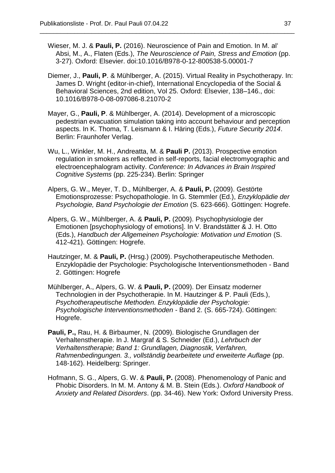Wieser, M. J. & **Pauli, P.** (2016). Neuroscience of Pain and Emotion. In M. al' Absi, M., A., Flaten (Eds.), *The Neuroscience of Pain, Stress and Emotion* (pp. 3-27). Oxford: Elsevier. doi:10.1016/B978-0-12-800538-5.00001-7

- Diemer, J., **Pauli, P**. & Mühlberger, A. (2015). Virtual Reality in Psychotherapy. In: James D. Wright (editor-in-chief), International Encyclopedia of the Social & Behavioral Sciences, 2nd edition, Vol 25. Oxford: Elsevier, 138–146., doi: 10.1016/B978-0-08-097086-8.21070-2
- Mayer, G., **Pauli, P**. & Mühlberger, A. (2014). Development of a microscopic pedestrian evacuation simulation taking into account behaviour and perception aspects. In K. Thoma, T. Leismann & I. Häring (Eds.), *Future Security 2014*. Berlin: Fraunhofer Verlag.
- Wu, L., Winkler, M. H., Andreatta, M. & **Pauli P.** (2013). Prospective emotion regulation in smokers as reflected in self-reports, facial electromyographic and electroencephalogram activity. *Conference: In Advances in Brain Inspired Cognitive Systems* (pp. 225-234). Berlin: Springer
- Alpers, G. W., Meyer, T. D., Mühlberger, A. & **Pauli, P.** (2009). Gestörte Emotionsprozesse: Psychopathologie. In G. Stemmler (Ed.), *Enzyklopädie der Psychologie, Band Psychologie der Emotion* (S. 623-666). Göttingen: Hogrefe.
- Alpers, G. W., Mühlberger, A. & **Pauli, P.** (2009). Psychophysiologie der Emotionen [psychophysiology of emotions]. In V. Brandstätter & J. H. Otto (Eds.), *Handbuch der Allgemeinen Psychologie: Motivation und Emotion* (S. 412-421). Göttingen: Hogrefe.
- Hautzinger, M. & **Pauli, P.** (Hrsg.) (2009). Psychotherapeutische Methoden. Enzyklopädie der Psychologie: Psychologische Interventionsmethoden - Band 2. Göttingen: Hogrefe
- Mühlberger, A., Alpers, G. W. & **Pauli, P.** (2009). Der Einsatz moderner Technologien in der Psychotherapie. In M. Hautzinger & P. Pauli (Eds.), *Psychotherapeutische Methoden. Enzyklopädie der Psychologie: Psychologische Interventionsmethoden* - Band 2. (S. 665-724). Göttingen: Hogrefe.
- **Pauli, P.,** Rau, H. & Birbaumer, N. (2009). Biologische Grundlagen der Verhaltenstherapie. In J. Margraf & S. Schneider (Ed.), *Lehrbuch der Verhaltenstherapie; Band 1: Grundlagen, Diagnostik, Verfahren, Rahmenbedingungen. 3., vollständig bearbeitete und erweiterte Auflage* (pp. 148-162). Heidelberg: Springer.
- Hofmann, S. G., Alpers, G. W. & **Pauli, P.** (2008). Phenomenology of Panic and Phobic Disorders. In M. M. Antony & M. B. Stein (Eds.). *Oxford Handbook of Anxiety and Related Disorders*. (pp. 34-46). New York: Oxford University Press.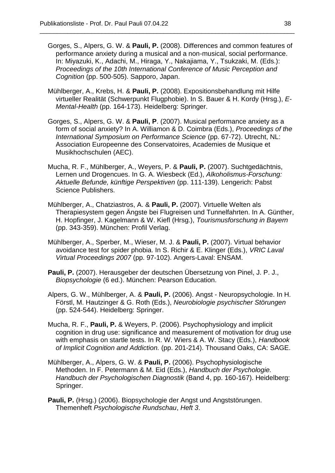Gorges, S., Alpers, G. W. & **Pauli, P.** (2008). Differences and common features of performance anxiety during a musical and a non-musical, social performance. In: Miyazuki, K., Adachi, M., Hiraga, Y., Nakajiama, Y., Tsukzaki, M. (Eds.): *Proceedings of the 10th International Conference of Music Perception and Cognition* (pp. 500-505). Sapporo, Japan.

- Mühlberger, A., Krebs, H. & **Pauli, P.** (2008). Expositionsbehandlung mit Hilfe virtueller Realität (Schwerpunkt Flugphobie). In S. Bauer & H. Kordy (Hrsg.), *E-Mental-Health* (pp. 164-173). Heidelberg: Springer.
- Gorges, S., Alpers, G. W. & **Pauli, P**. (2007). Musical performance anxiety as a form of social anxiety? In A. Williamon & D. Coimbra (Eds.), *Proceedings of the International Symposium on Performance Science* (pp. 67-72). Utrecht, NL: Association Europeenne des Conservatoires, Academies de Musique et Musikhochschulen (AEC).
- Mucha, R. F., Mühlberger, A., Weyers, P. & **Pauli, P.** (2007). Suchtgedächtnis, Lernen und Drogencues. In G. A. Wiesbeck (Ed.), *Alkoholismus-Forschung: Aktuelle Befunde, künftige Perspektiven* (pp. 111-139). Lengerich: Pabst Science Publishers.
- Mühlberger, A., Chatziastros, A. & **Pauli, P.** (2007). Virtuelle Welten als Therapiesystem gegen Ängste bei Flugreisen und Tunnelfahrten. In A. Günther, H. Hopfinger, J. Kagelmann & W. Kiefl (Hrsg.), *Tourismusforschung in Bayern*  (pp. 343-359). München: Profil Verlag.
- Mühlberger, A., Sperber, M., Wieser, M. J. & **Pauli, P.** (2007). Virtual behavior avoidance test for spider phobia. In S. Richir & E. Klinger (Eds.), *VRIC Laval Virtual Proceedings 2007* (pp. 97-102). Angers-Laval: ENSAM.
- **Pauli, P.** (2007). Herausgeber der deutschen Übersetzung von Pinel, J. P. J., *Biopsychologie* (6 ed.). München: Pearson Education.
- Alpers, G. W., Mühlberger, A. & **Pauli, P.** (2006). Angst Neuropsychologie. In H. Förstl, M. Hautzinger & G. Roth (Eds.), *Neurobiologie psychischer Störungen* (pp. 524-544). Heidelberg: Springer.
- Mucha, R. F., **Pauli, P.** & Weyers, P. (2006). Psychophysiology and implicit cognition in drug use: significance and measurement of motivation for drug use with emphasis on startle tests. In R. W. Wiers & A. W. Stacy (Eds.), *Handbook of Implicit Cognition and Addiction.* (pp. 201-214). Thousand Oaks, CA: SAGE.
- Mühlberger, A., Alpers, G. W. & **Pauli, P.** (2006). Psychophysiologische Methoden. In F. Petermann & M. Eid (Eds.), *Handbuch der Psychologie. Handbuch der Psychologischen Diagnostik* (Band 4, pp. 160-167). Heidelberg: Springer.
- **Pauli, P.** (Hrsg.) (2006). Biopsychologie der Angst und Angststörungen. Themenheft *Psychologische Rundschau*, *Heft 3*.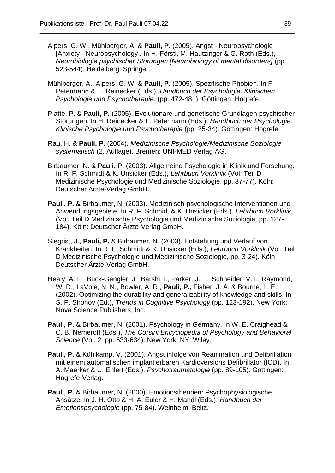Alpers, G. W., Mühlberger, A. & **Pauli, P.** (2005). Angst - Neuropsychologie [Anxiety - Neuropsychology]. In H. Förstl, M. Hautzinger & G. Roth (Eds.), *Neurobiologie psychischer Störungen [Neurobiology of mental disorders]* (pp. 523-544). Heidelberg: Springer.

- Mühlberger, A., Alpers, G. W. & **Pauli, P.** (2005). Spezifische Phobien. In F. Petermann & H. Reinecker (Eds.), *Handbuch der Psychologie. Klinischen Psychologie und Psychotherapie*. (pp. 472-481). Göttingen: Hogrefe.
- Platte, P. & **Pauli, P.** (2005). Evolutionäre und genetische Grundlagen psychischer Störungen. In H. Reinecker & F. Petermann (Eds.), *Handbuch der Psychologie. Klinische Psychologie und Psychotherapie* (pp. 25-34). Göttingen: Hogrefe.
- Rau, H. & **Pauli, P.** (2004). *Medizinische Psychologie/Medizinische Soziologie systematisch* (2. Auflage). Bremen: UNI-MED Verlag AG.
- Birbaumer, N. & **Pauli, P.** (2003). Allgemeine Psychologie in Klinik und Forschung*.* In R. F. Schmidt & K. Unsicker (Eds.), *Lehrbuch Vorklinik* (Vol. Teil D Medizinische Psychologie und Medizinische Soziologie, pp. 37-77). Köln: Deutscher Ärzte-Verlag GmbH.
- **Pauli, P.** & Birbaumer, N. (2003). Medizinisch-psychologische Interventionen und Anwendungsgebiete. In R. F. Schmidt & K. Unsicker (Eds.), *Lehrbuch Vorklinik* (Vol. Teil D Medizinische Psychologie und Medizinische Soziologie, pp. 127- 184). Köln: Deutscher Ärzte-Verlag GmbH.
- Siegrist, J., **Pauli, P.** & Birbaumer, N. (2003). Entstehung und Verlauf von Krankheiten. In R. F. Schmidt & K. Unsicker (Eds.), *Lehrbuch Vorklinik* (Vol. Teil D Medizinische Psychologie und Medizinische Soziologie, pp. 3-24). Köln: Deutscher Ärzte-Verlag GmbH.
- Healy, A. F., Buck-Gengler, J., Barshi, I., Parker, J. T., Schneider, V. I., Raymond, W. D., LaVoie, N. N., Bowler, A. R., **Pauli, P.,** Fisher, J. A. & Bourne, L. E. (2002). Optimizing the durability and generalizability of knowledge and skills. In S. P. Shohov (Ed.), *Trends in Cognitive Psychology* (pp. 123-192). New York: Nova Science Publishers, Inc.
- **Pauli, P.** & Birbaumer, N. (2001). Psychology in Germany. In W. E. Craighead & C. B. Nemeroff (Eds.), *The Corsini Encyclopedia of Psychology and Behavioral Science* (Vol. 2, pp. 633-634). New York, NY: Wiley.
- **Pauli, P.** & Kühlkamp, V. (2001). Angst infolge von Reanimation und Defibrillation mit einem automatischen implantierbaren Kardioversions Defibrillator (ICD). In A. Maerker & U. Ehlert (Eds.), *Psychotraumatologie* (pp. 89-105). Göttingen: Hogrefe-Verlag.
- **Pauli, P.** & Birbaumer, N. (2000). Emotionstheorien: Psychophysiologische Ansätze. In J. H. Otto & H. A. Euler & H. Mandl (Eds.), *Handbuch der Emotionspsychologie* (pp. 75-84). Weinheim: Beltz.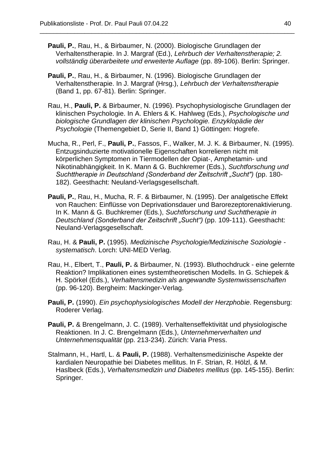**Pauli, P.**, Rau, H., & Birbaumer, N. (2000). Biologische Grundlagen der Verhaltenstherapie. In J. Margraf (Ed.), *Lehrbuch der Verhaltenstherapie; 2. vollständig überarbeitete und erweiterte Auflage* (pp. 89-106). Berlin: Springer.

- **Pauli, P.**, Rau, H., & Birbaumer, N. (1996). Biologische Grundlagen der Verhaltenstherapie. In J. Margraf (Hrsg.), *Lehrbuch der Verhaltenstherapie* (Band 1, pp. 67-81). Berlin: Springer.
- Rau, H., **Pauli, P.** & Birbaumer, N. (1996). Psychophysiologische Grundlagen der klinischen Psychologie. In A. Ehlers & K. Hahlweg (Eds.), *Psychologische und biologische Grundlagen der klinischen Psychologie. Enzyklopädie der Psychologie* (Themengebiet D, Serie II, Band 1) Göttingen: Hogrefe.
- Mucha, R., Perl, F., **Pauli, P.**, Fassos, F., Walker, M. J. K. & Birbaumer, N. (1995). Entzugsinduzierte motivationelle Eigenschaften korrelieren nicht mit körperlichen Symptomen in Tiermodellen der Opiat-, Amphetamin- und Nikotinabhängigkeit. In K. Mann & G. Buchkremer (Eds.), *Suchtforschung und Suchttherapie in Deutschland (Sonderband der Zeitschrift "Sucht")* (pp. 180- 182). Geesthacht: Neuland-Verlagsgesellschaft.
- **Pauli, P.**, Rau, H., Mucha, R. F. & Birbaumer, N. (1995). Der analgetische Effekt von Rauchen: Einflüsse von Deprivationsdauer und Barorezeptorenaktivierung. In K. Mann & G. Buchkremer (Eds.), *Suchtforschung und Suchttherapie in Deutschland (Sonderband der Zeitschrift "Sucht")* (pp. 109-111). Geesthacht: Neuland-Verlagsgesellschaft.
- Rau, H. & **Pauli, P.** (1995). *Medizinische Psychologie/Medizinische Soziologie systematisch*. Lorch: UNI-MED Verlag.
- Rau, H., Elbert, T., **Pauli, P.** & Birbaumer, N. (1993). Bluthochdruck eine gelernte Reaktion? Implikationen eines systemtheoretischen Modells. In G. Schiepek & H. Spörkel (Eds.), *Verhaltensmedizin als angewandte Systemwissenschaften* (pp. 96-120). Bergheim: Mackinger-Verlag.
- **Pauli, P.** (1990). *Ein psychophysiologisches Modell der Herzphobie*. Regensburg: Roderer Verlag.
- **Pauli, P.** & Brengelmann, J. C. (1989). Verhaltenseffektivität und physiologische Reaktionen. In J. C. Brengelmann (Eds.), *Unternehmerverhalten und Unternehmensqualität* (pp. 213-234). Zürich: Varia Press.
- Stalmann, H., Hartl, L. & **Pauli, P.** (1988). Verhaltensmedizinische Aspekte der kardialen Neuropathie bei Diabetes mellitus. In F. Strian, R. Hölzl, & M. Haslbeck (Eds.), *Verhaltensmedizin und Diabetes mellitus* (pp. 145-155). Berlin: Springer.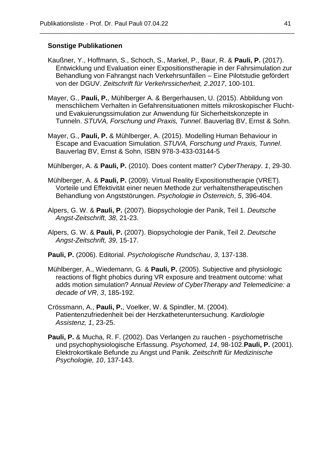### **Sonstige Publikationen**

Kaußner, Y., Hoffmann, S., Schoch, S., Markel, P., Baur, R. & **Pauli, P.** (2017). Entwicklung und Evaluation einer Expositionstherapie in der Fahrsimulation zur Behandlung von Fahrangst nach Verkehrsunfällen – Eine Pilotstudie gefördert von der DGUV. *Zeitschrift für Verkehrssicherheit, 2.2017*, 100-101.

- Mayer, G., **Pauli, P.**, Mühlberger A. & Bergerhausen, U. (2015). Abbildung von menschlichem Verhalten in Gefahrensituationen mittels mikroskopischer Fluchtund Evakuierungssimulation zur Anwendung für Sicherheitskonzepte in Tunneln. *STUVA, Forschung und Praxis, Tunnel*. Bauverlag BV, Ernst & Sohn.
- Mayer, G., **Pauli, P.** & Mühlberger, A. (2015). Modelling Human Behaviour in Escape and Evacuation Simulation. *STUVA, Forschung und Praxis, Tunnel*. Bauverlag BV, Ernst & Sohn, ISBN 978-3-433-03144-5
- Mühlberger, A. & **Pauli, P.** (2010). Does content matter? *CyberTherapy*. *1*, 29-30.
- Mühlberger, A. & **Pauli, P.** (2009). Virtual Reality Expositionstherapie (VRET). Vorteile und Effektivität einer neuen Methode zur verhaltenstherapeutischen Behandlung von Angststörungen. *Psychologie in Österreich*, *5*, 396-404.
- Alpers, G. W. & **Pauli, P.** (2007). Biopsychologie der Panik, Teil 1. *Deutsche Angst-Zeitschrift, 38*, 21-23.
- Alpers, G. W. & **Pauli, P.** (2007). Biopsychologie der Panik, Teil 2. *Deutsche Angst-Zeitschrift, 39*, 15-17.
- **Pauli, P.** (2006). Editorial. *Psychologische Rundschau*, *3*, 137-138.
- Mühlberger, A., Wiedemann, G. & **Pauli, P.** (2005). Subjective and physiologic reactions of flight phobics during VR exposure and treatment outcome: what adds motion simulation? *Annual Review of CyberTherapy and Telemedicine: a decade of VR*, *3*, 185-192.
- Crössmann, A., **Pauli, P.**, Voelker, W. & Spindler, M. (2004). Patientenzufriedenheit bei der Herzkatheteruntersuchung. *Kardiologie Assistenz, 1*, 23-25.
- **Pauli, P.** & Mucha, R. F. (2002). Das Verlangen zu rauchen psychometrische und psychophysiologische Erfassung. *Psychomed, 14*, 98-102.**Pauli, P.** (2001). Elektrokortikale Befunde zu Angst und Panik. *Zeitschrift für Medizinische Psychologie, 10*, 137-143.